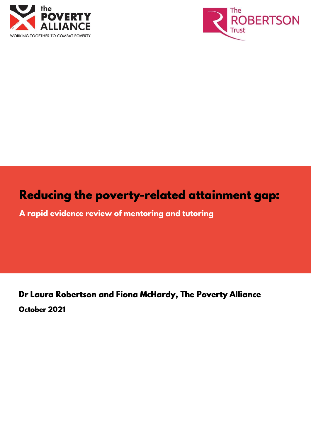



# Reducing the poverty-related attainment gap:

A rapid evidence review of mentoring and tutoring

Dr Laura Robertson and Fiona McHardy, The Poverty Alliance October 2021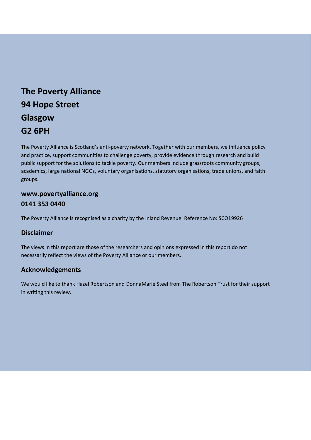# **The Poverty Alliance 94 Hope Street Glasgow G2 6PH**

The Poverty Alliance is Scotland's anti-poverty network. Together with our members, we influence policy and practice, support communities to challenge poverty, provide evidence through research and build public support for the solutions to tackle poverty. Our members include grassroots community groups, academics, large national NGOs, voluntary organisations, statutory organisations, trade unions, and faith groups.

### **www.povertyalliance.org 0141 353 0440**

The Poverty Alliance is recognised as a charity by the Inland Revenue. Reference No: SCO19926

### **Disclaimer**

The views in this report are those of the researchers and opinions expressed in this report do not necessarily reflect the views of the Poverty Alliance or our members.

### **Acknowledgements**

We would like to thank Hazel Robertson and DonnaMarie Steel from The Robertson Trust for their support in writing this review.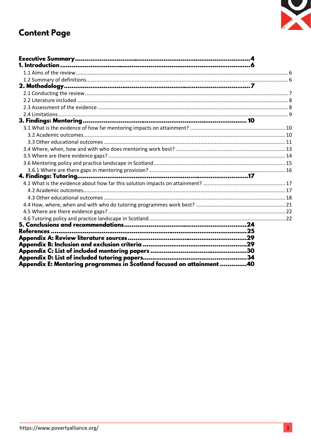

# **Content Page**

| Executive Summary……………………………………………………………………………………4                    |  |
|-----------------------------------------------------------------------|--|
|                                                                       |  |
|                                                                       |  |
|                                                                       |  |
|                                                                       |  |
|                                                                       |  |
|                                                                       |  |
|                                                                       |  |
|                                                                       |  |
|                                                                       |  |
|                                                                       |  |
|                                                                       |  |
|                                                                       |  |
|                                                                       |  |
|                                                                       |  |
|                                                                       |  |
|                                                                       |  |
|                                                                       |  |
|                                                                       |  |
|                                                                       |  |
|                                                                       |  |
|                                                                       |  |
|                                                                       |  |
|                                                                       |  |
|                                                                       |  |
|                                                                       |  |
|                                                                       |  |
|                                                                       |  |
|                                                                       |  |
|                                                                       |  |
| Appendix E: Mentoring programmes in Scotland focused on attainment 40 |  |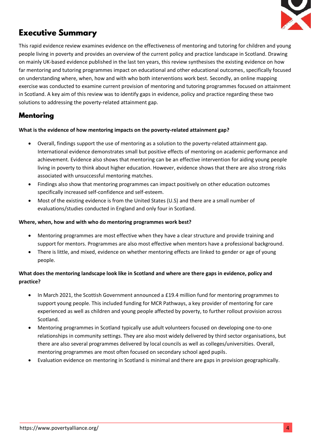

# **Executive Summary**

This rapid evidence review examines evidence on the effectiveness of mentoring and tutoring for children and young people living in poverty and provides an overview of the current policy and practice landscape in Scotland. Drawing on mainly UK-based evidence published in the last ten years, this review synthesises the existing evidence on how far mentoring and tutoring programmes impact on educational and other educational outcomes, specifically focused on understanding where, when, how and with who both interventions work best. Secondly, an online mapping exercise was conducted to examine current provision of mentoring and tutoring programmes focused on attainment in Scotland. A key aim of this review was to identify gaps in evidence, policy and practice regarding these two solutions to addressing the poverty-related attainment gap.

### **Mentoring**

#### **What is the evidence of how mentoring impacts on the poverty-related attainment gap?**

- Overall, findings support the use of mentoring as a solution to the poverty-related attainment gap. International evidence demonstrates small but positive effects of mentoring on academic performance and achievement. Evidence also shows that mentoring can be an effective intervention for aiding young people living in poverty to think about higher education. However, evidence shows that there are also strong risks associated with unsuccessful mentoring matches.
- Findings also show that mentoring programmes can impact positively on other education outcomes specifically increased self-confidence and self-esteem.
- Most of the existing evidence is from the United States (U.S) and there are a small number of evaluations/studies conducted in England and only four in Scotland.

#### **Where, when, how and with who do mentoring programmes work best?**

- Mentoring programmes are most effective when they have a clear structure and provide training and support for mentors. Programmes are also most effective when mentors have a professional background.
- There is little, and mixed, evidence on whether mentoring effects are linked to gender or age of young people.

#### **What does the mentoring landscape look like in Scotland and where are there gaps in evidence, policy and practice?**

- In March 2021, the Scottish Government announced a £19.4 million fund for mentoring programmes to support young people. This included funding for MCR Pathways, a key provider of mentoring for care experienced as well as children and young people affected by poverty, to further rollout provision across Scotland.
- Mentoring programmes in Scotland typically use adult volunteers focused on developing one-to-one relationships in community settings. They are also most widely delivered by third sector organisations, but there are also several programmes delivered by local councils as well as colleges/universities. Overall, mentoring programmes are most often focused on secondary school aged pupils.
- Evaluation evidence on mentoring in Scotland is minimal and there are gaps in provision geographically.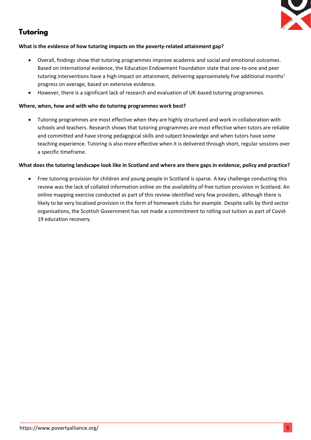

## **Tutoring**

#### **What is the evidence of how tutoring impacts on the poverty-related attainment gap?**

- Overall, findings show that tutoring programmes improve academic and social and emotional outcomes. Based on international evidence, the Education Endowment Foundation state that one-to-one and peer tutoring interventions have a high impact on attainment, delivering approximately five additional months' progress on average, based on extensive evidence.
- However, there is a significant lack of research and evaluation of UK-based tutoring programmes.

#### **Where, when, how and with who do tutoring programmes work best?**

• Tutoring programmes are most effective when they are highly structured and work in collaboration with schools and teachers. Research shows that tutoring programmes are most effective when tutors are reliable and committed and have strong pedagogical skills and subject knowledge and when tutors have some teaching experience. Tutoring is also more effective when it is delivered through short, regular sessions over a specific timeframe.

#### **What does the tutoring landscape look like in Scotland and where are there gaps in evidence, policy and practice?**

• Free tutoring provision for children and young people in Scotland is sparse. A key challenge conducting this review was the lack of collated information online on the availability of free tuition provision in Scotland. An online mapping exercise conducted as part of this review identified very few providers, although there is likely to be very localised provision in the form of homework clubs for example. Despite calls by third sector organisations, the Scottish Government has not made a commitment to rolling out tuition as part of Covid-19 education recovery.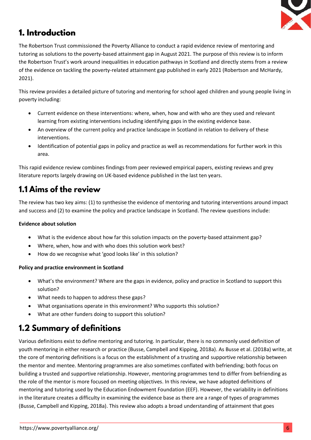

## 1. Introduction

The Robertson Trust commissioned the Poverty Alliance to conduct a rapid evidence review of mentoring and tutoring as solutions to the poverty-based attainment gap in August 2021. The purpose of this review is to inform the Robertson Trust's work around inequalities in education pathways in Scotland and directly stems from a review of the evidence on tackling the poverty-related attainment gap published in early 2021 (Robertson and McHardy, 2021).

This review provides a detailed picture of tutoring and mentoring for school aged children and young people living in poverty including:

- Current evidence on these interventions: where, when, how and with who are they used and relevant learning from existing interventions including identifying gaps in the existing evidence base.
- An overview of the current policy and practice landscape in Scotland in relation to delivery of these interventions.
- Identification of potential gaps in policy and practice as well as recommendations for further work in this area.

This rapid evidence review combines findings from peer reviewed empirical papers, existing reviews and grey literature reports largely drawing on UK-based evidence published in the last ten years.

## 1.1 Aims of the review

The review has two key aims: (1) to synthesise the evidence of mentoring and tutoring interventions around impact and success and (2) to examine the policy and practice landscape in Scotland. The review questions include:

### **Evidence about solution**

- What is the evidence about how far this solution impacts on the poverty-based attainment gap?
- Where, when, how and with who does this solution work best?
- How do we recognise what 'good looks like' in this solution?

#### **Policy and practice environment in Scotland**

- What's the environment? Where are the gaps in evidence, policy and practice in Scotland to support this solution?
- What needs to happen to address these gaps?
- What organisations operate in this environment? Who supports this solution?
- What are other funders doing to support this solution?

# **1.2 Summary of definitions**

Various definitions exist to define mentoring and tutoring. In particular, there is no commonly used definition of youth mentoring in either research or practice (Busse, Campbell and Kipping, 2018a). As Busse et al. (2018a) write, at the core of mentoring definitions is a focus on the establishment of a trusting and supportive relationship between the mentor and mentee. Mentoring programmes are also sometimes conflated with befriending; both focus on building a trusted and supportive relationship. However, mentoring programmes tend to differ from befriending as the role of the mentor is more focused on meeting objectives. In this review, we have adopted definitions of mentoring and tutoring used by the Education Endowment Foundation (EEF). However, the variability in definitions in the literature creates a difficulty in examining the evidence base as there are a range of types of programmes (Busse, Campbell and Kipping, 2018a). This review also adopts a broad understanding of attainment that goes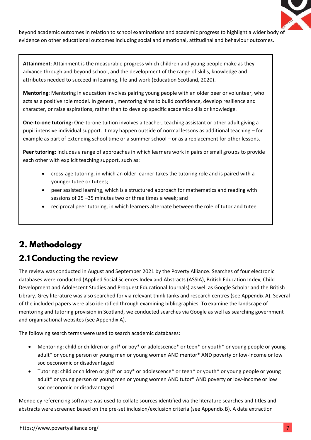

beyond academic outcomes in relation to school examinations and academic progress to highlight a wider body of evidence on other educational outcomes including social and emotional, attitudinal and behaviour outcomes.

**Attainment**: Attainment is the measurable progress which children and young people make as they advance through and beyond school, and the development of the range of skills, knowledge and attributes needed to succeed in learning, life and work (Education Scotland, 2020).

**Mentoring**: Mentoring in education involves pairing young people with an older peer or volunteer, who acts as a positive role model. In general, mentoring aims to build confidence, develop resilience and character, or raise aspirations, rather than to develop specific academic skills or knowledge.

**One-to-one tutoring:** One-to-one tuition involves a teacher, teaching assistant or other adult giving a pupil intensive individual support. It may happen outside of normal lessons as additional teaching – for example as part of extending school time or a summer school – or as a replacement for other lessons.

**Peer tutoring:** includes a range of approaches in which learners work in pairs or small groups to provide each other with explicit teaching support, such as:

- cross-age tutoring, in which an older learner takes the tutoring role and is paired with a younger tutee or tutees;
- peer assisted learning, which is a structured approach for mathematics and reading with sessions of 25 –35 minutes two or three times a week; and
- reciprocal peer tutoring, in which learners alternate between the role of tutor and tutee.

# 2. Methodology

## 2.1 Conducting the review

The review was conducted in August and September 2021 by the Poverty Alliance. Searches of four electronic databases were conducted (Applied Social Sciences Index and Abstracts (ASSIA), British Education Index, Child Development and Adolescent Studies and Proquest Educational Journals) as well as Google Scholar and the British Library. Grey literature was also searched for via relevant think tanks and research centres (see Appendix A). Several of the included papers were also identified through examining bibliographies. To examine the landscape of mentoring and tutoring provision in Scotland, we conducted searches via Google as well as searching government and organisational websites (see Appendix A).

The following search terms were used to search academic databases:

- Mentoring: child or children or girl\* or boy\* or adolescence\* or teen\* or youth\* or young people or young adult\* or young person or young men or young women AND mentor\* AND poverty or low-income or low socioeconomic or disadvantaged
- Tutoring: child or children or girl\* or boy\* or adolescence\* or teen\* or youth\* or young people or young adult\* or young person or young men or young women AND tutor\* AND poverty or low-income or low socioeconomic or disadvantaged

Mendeley referencing software was used to collate sources identified via the literature searches and titles and abstracts were screened based on the pre-set inclusion/exclusion criteria (see Appendix B). A data extraction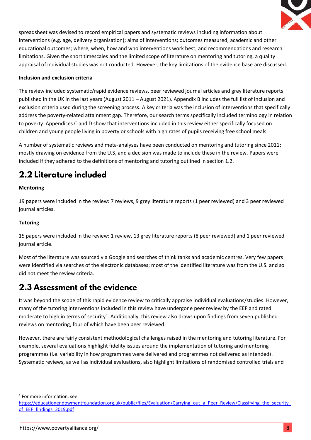

spreadsheet was devised to record empirical papers and systematic reviews including information about interventions (e.g. age, delivery organisation); aims of interventions; outcomes measured; academic and other educational outcomes; where, when, how and who interventions work best; and recommendations and research limitations. Given the short timescales and the limited scope of literature on mentoring and tutoring, a quality appraisal of individual studies was not conducted. However, the key limitations of the evidence base are discussed.

#### **Inclusion and exclusion criteria**

The review included systematic/rapid evidence reviews, peer reviewed journal articles and grey literature reports published in the UK in the last years (August 2011 – August 2021). Appendix B includes the full list of inclusion and exclusion criteria used during the screening process. A key criteria was the inclusion of interventions that specifically address the poverty-related attainment gap. Therefore, our search terms specifically included terminology in relation to poverty. Appendices C and D show that interventions included in this review either specifically focused on children and young people living in poverty or schools with high rates of pupils receiving free school meals.

A number of systematic reviews and meta-analyses have been conducted on mentoring and tutoring since 2011; mostly drawing on evidence from the U.S, and a decision was made to include these in the review. Papers were included if they adhered to the definitions of mentoring and tutoring outlined in section 1.2.

# 2.2 Literature included

#### **Mentoring**

19 papers were included in the review: 7 reviews, 9 grey literature reports (1 peer reviewed) and 3 peer reviewed journal articles.

#### **Tutoring**

15 papers were included in the review: 1 review, 13 grey literature reports (8 peer reviewed) and 1 peer reviewed journal article.

Most of the literature was sourced via Google and searches of think tanks and academic centres. Very few papers were identified via searches of the electronic databases; most of the identified literature was from the U.S. and so did not meet the review criteria.

## 2.3 Assessment of the evidence

It was beyond the scope of this rapid evidence review to critically appraise individual evaluations/studies. However, many of the tutoring interventions included in this review have undergone peer review by the EEF and rated moderate to high in terms of security<sup>1</sup>. Additionally, this review also draws upon findings from seven published reviews on mentoring, four of which have been peer reviewed.

However, there are fairly consistent methodological challenges raised in the mentoring and tutoring literature. For example, several evaluations highlight fidelity issues around the implementation of tutoring and mentoring programmes (i.e. variability in how programmes were delivered and programmes not delivered as intended). Systematic reviews, as well as individual evaluations, also highlight limitations of randomised controlled trials and

1 For more information, see:

[https://educationendowmentfoundation.org.uk/public/files/Evaluation/Carrying\\_out\\_a\\_Peer\\_Review/Classifying\\_the\\_security\\_](https://educationendowmentfoundation.org.uk/public/files/Evaluation/Carrying_out_a_Peer_Review/Classifying_the_security_of_EEF_findings_2019.pdf) of EEF findings 2019.pdf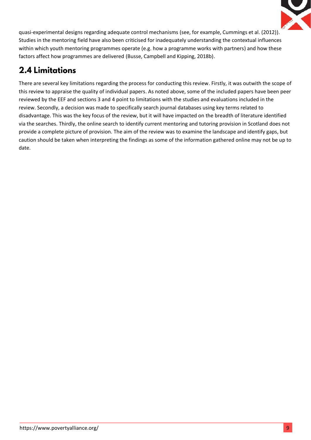

quasi-experimental designs regarding adequate control mechanisms (see, for example, Cummings et al. (2012)). Studies in the mentoring field have also been criticised for inadequately understanding the contextual influences within which youth mentoring programmes operate (e.g. how a programme works with partners) and how these factors affect how programmes are delivered (Busse, Campbell and Kipping, 2018b).

# **2.4 Limitations**

There are several key limitations regarding the process for conducting this review. Firstly, it was outwith the scope of this review to appraise the quality of individual papers. As noted above, some of the included papers have been peer reviewed by the EEF and sections 3 and 4 point to limitations with the studies and evaluations included in the review. Secondly, a decision was made to specifically search journal databases using key terms related to disadvantage. This was the key focus of the review, but it will have impacted on the breadth of literature identified via the searches. Thirdly, the online search to identify current mentoring and tutoring provision in Scotland does not provide a complete picture of provision. The aim of the review was to examine the landscape and identify gaps, but caution should be taken when interpreting the findings as some of the information gathered online may not be up to date.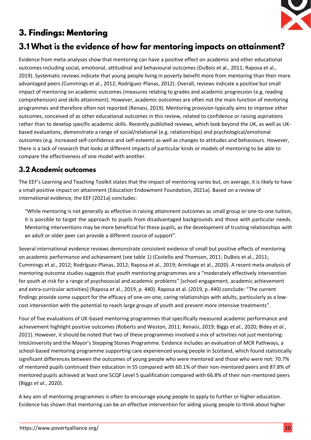

# 3. Findings: Mentoring

## 3.1 What is the evidence of how far mentoring impacts on attainment?

Evidence from meta-analyses show that mentoring can have a positive effect on academic and other educational outcomes including social, emotional, attitudinal and behavioural outcomes (DuBois et al., 2011; Raposa et al., 2019). Systematic reviews indicate that young people living in poverty benefit more from mentoring than their more advantaged peers (Cummings et al., 2012; Rodríguez-Planas, 2012). Overall, reviews indicate a positive but small impact of mentoring on academic outcomes (measures relating to grades and academic progression (e.g. reading comprehension) and skills attainment). However, academic outcomes are often not the main function of mentoring programmes and therefore often not reported (Renaisi, 2019). Mentoring provision typically aims to improve other outcomes, conceived of as other educational outcomes in this review, related to confidence or raising aspirations rather than to develop specific academic skills. Recently published reviews, which look beyond the UK, as well as UKbased evaluations, demonstrate a range of social/relational (e.g. relationships) and psychological/emotional outcomes (e.g. increased self-confidence and self-esteem) as well as changes to attitudes and behaviours. However, there is a lack of research that looks at different impacts of particular kinds or models of mentoring to be able to compare the effectiveness of one model with another.

### 3.2 Academic outcomes

The EEF's Learning and Teaching Toolkit states that the impact of mentoring varies but, on average, it is likely to have a small positive impact on attainment (Education Endowment Foundation, 2021a). Based on a review of international evidence, the EEF (2021a) concludes:

"While mentoring is not generally as effective in raising attainment outcomes as small group or one-to-one tuition, it is possible to target the approach to pupils from disadvantaged backgrounds and those with particular needs. Mentoring interventions may be more beneficial for these pupils, as the development of trusting relationships with an adult or older peer can provide a different source of support".

Several international evidence reviews demonstrate consistent evidence of small but positive effects of mentoring on academic performance and achievement (see table 1) (Costello and Thomson, 2011; DuBois et al., 2011; Cummings et al., 2012; Rodríguez-Planas, 2012; Raposa et al., 2019; Armitage et al., 2020). A recent meta-analysis of mentoring outcome studies suggests that youth mentoring programmes are a "moderately effectively intervention for youth at-risk for a range of psychosocial and academic problems" [school engagement, academic achievement and extra-curricular activities] (Raposa et al., 2019, p. 440). Raposa et al. (2019, p. 440) conclude: "The current findings provide some support for the efficacy of one-on-one, caring relationships with adults, particularly as a lowcost intervention with the potential to reach large groups of youth and prevent more intensive treatments".

Four of five evaluations of UK-based mentoring programmes that specifically measured academic performance and achievement highlight positive outcomes (Roberts and Weston, 2011; Renaisi, 2019; Biggs *et al.*, 2020; Bidey *et al.*, 2021). However, it should be noted that two of these programmes involved a mix of activities not just mentoring: IntoUniversity and the Mayor's Stepping Stones Programme. Evidence includes an evaluation of MCR Pathways, a school-based mentoring programme supporting care experienced young people in Scotland, which found statistically significant differences between the outcomes of young people who were mentored and those who were not: 70.7% of mentored pupils continued their education in S5 compared with 60.1% of their non-mentored peers and 87.8% of mentored pupils achieved at least one SCQF Level 5 qualification compared with 66.8% of their non-mentored peers (Biggs *et al.*, 2020).

A key aim of mentoring programmes is often to encourage young people to apply to further or higher education. Evidence has shown that mentoring can be an effective intervention for aiding young people to think about higher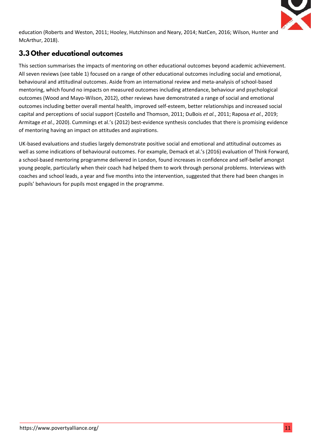

education (Roberts and Weston, 2011; Hooley, Hutchinson and Neary, 2014; NatCen, 2016; Wilson, Hunter and McArthur, 2018).

## 3.3 Other educational outcomes

This section summarises the impacts of mentoring on other educational outcomes beyond academic achievement. All seven reviews (see table 1) focused on a range of other educational outcomes including social and emotional, behavioural and attitudinal outcomes. Aside from an international review and meta-analysis of school-based mentoring, which found no impacts on measured outcomes including attendance, behaviour and psychological outcomes (Wood and Mayo-Wilson, 2012), other reviews have demonstrated a range of social and emotional outcomes including better overall mental health, improved self-esteem, better relationships and increased social capital and perceptions of social support (Costello and Thomson, 2011; DuBois *et al.*, 2011; Raposa *et al.*, 2019; Armitage *et al.*, 2020). Cummings et al.'s (2012) best-evidence synthesis concludes that there is promising evidence of mentoring having an impact on attitudes and aspirations.

UK-based evaluations and studies largely demonstrate positive social and emotional and attitudinal outcomes as well as some indications of behavioural outcomes. For example, Demack et al.'s (2016) evaluation of Think Forward, a school-based mentoring programme delivered in London, found increases in confidence and self-belief amongst young people, particularly when their coach had helped them to work through personal problems. Interviews with coaches and school leads, a year and five months into the intervention, suggested that there had been changes in pupils' behaviours for pupils most engaged in the programme.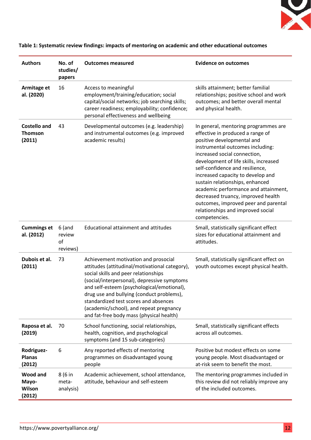

| <b>Authors</b>                                  | No. of<br>studies/<br>papers         | <b>Outcomes measured</b>                                                                                                                                                                                                                                                                                                                                                                                 | <b>Evidence on outcomes</b>                                                                                                                                                                                                                                                                                                                                                                                                                                                                                |
|-------------------------------------------------|--------------------------------------|----------------------------------------------------------------------------------------------------------------------------------------------------------------------------------------------------------------------------------------------------------------------------------------------------------------------------------------------------------------------------------------------------------|------------------------------------------------------------------------------------------------------------------------------------------------------------------------------------------------------------------------------------------------------------------------------------------------------------------------------------------------------------------------------------------------------------------------------------------------------------------------------------------------------------|
| Armitage et<br>al. (2020)                       | 16                                   | Access to meaningful<br>employment/training/education; social<br>capital/social networks; job searching skills;<br>career readiness; employability; confidence;<br>personal effectiveness and wellbeing                                                                                                                                                                                                  | skills attainment; better familial<br>relationships; positive school and work<br>outcomes; and better overall mental<br>and physical health.                                                                                                                                                                                                                                                                                                                                                               |
| <b>Costello and</b><br><b>Thomson</b><br>(2011) | 43                                   | Developmental outcomes (e.g. leadership)<br>and instrumental outcomes (e.g. improved<br>academic results)                                                                                                                                                                                                                                                                                                | In general, mentoring programmes are<br>effective in produced a range of<br>positive developmental and<br>instrumental outcomes including:<br>increased social connection,<br>development of life skills, increased<br>self-confidence and resilience,<br>increased capacity to develop and<br>sustain relationships, enhanced<br>academic performance and attainment,<br>decreased truancy, improved health<br>outcomes, improved peer and parental<br>relationships and improved social<br>competencies. |
| <b>Cummings et</b><br>al. (2012)                | $6$ (and<br>review<br>of<br>reviews) | Educational attainment and attitudes                                                                                                                                                                                                                                                                                                                                                                     | Small, statistically significant effect<br>sizes for educational attainment and<br>attitudes.                                                                                                                                                                                                                                                                                                                                                                                                              |
| Dubois et al.<br>(2011)                         | 73                                   | Achievement motivation and prosocial<br>attitudes (attitudinal/motivational category),<br>social skills and peer relationships<br>(social/interpersonal), depressive symptoms<br>and self-esteem (psychological/emotional),<br>drug use and bullying (conduct problems),<br>standardized test scores and absences<br>(academic/school), and repeat pregnancy<br>and fat-free body mass (physical health) | Small, statistically significant effect on<br>youth outcomes except physical health.                                                                                                                                                                                                                                                                                                                                                                                                                       |
| Raposa et al.<br>(2019)                         | 70                                   | School functioning, social relationships,<br>health, cognition, and psychological<br>symptoms (and 15 sub-categories)                                                                                                                                                                                                                                                                                    | Small, statistically significant effects<br>across all outcomes.                                                                                                                                                                                                                                                                                                                                                                                                                                           |
| Rodriguez-<br><b>Planas</b><br>(2012)           | 6                                    | Any reported effects of mentoring<br>programmes on disadvantaged young<br>people                                                                                                                                                                                                                                                                                                                         | Positive but modest effects on some<br>young people. Most disadvantaged or<br>at-risk seem to benefit the most.                                                                                                                                                                                                                                                                                                                                                                                            |
| Wood and<br>Mayo-<br>Wilson<br>(2012)           | 8 (6 in<br>meta-<br>analysis)        | Academic achievement, school attendance,<br>attitude, behaviour and self-esteem                                                                                                                                                                                                                                                                                                                          | The mentoring programmes included in<br>this review did not reliably improve any<br>of the included outcomes.                                                                                                                                                                                                                                                                                                                                                                                              |

**Table 1: Systematic review findings: impacts of mentoring on academic and other educational outcomes**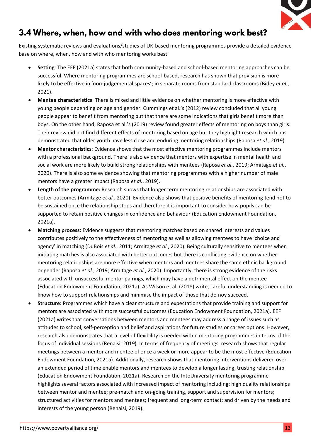

## 3.4 Where, when, how and with who does mentoring work best?

Existing systematic reviews and evaluations/studies of UK-based mentoring programmes provide a detailed evidence base on where, when, how and with who mentoring works best.

- **Setting**: The EEF (2021a) states that both community-based and school-based mentoring approaches can be successful. Where mentoring programmes are school-based, research has shown that provision is more likely to be effective in 'non-judgemental spaces'; in separate rooms from standard classrooms (Bidey *et al.*, 2021).
- **Mentee characteristics**: There is mixed and little evidence on whether mentoring is more effective with young people depending on age and gender. Cummings et al.'s (2012) review concluded that all young people appear to benefit from mentoring but that there are some indications that girls benefit more than boys. On the other hand, Raposa et al.'s (2019) review found greater effects of mentoring on boys than girls. Their review did not find different effects of mentoring based on age but they highlight research which has demonstrated that older youth have less close and enduring mentoring relationships (Raposa *et al.*, 2019).
- **Mentor characteristics**: Evidence shows that the most effective mentoring programmes include mentors with a professional background. There is also evidence that mentors with expertise in mental health and social work are more likely to build strong relationships with mentees (Raposa *et al.*, 2019; Armitage *et al.*, 2020). There is also some evidence showing that mentoring programmes with a higher number of male mentors have a greater impact (Raposa *et al.*, 2019).
- **Length of the programme:** Research shows that longer term mentoring relationships are associated with better outcomes (Armitage *et al.*, 2020). Evidence also shows that positive benefits of mentoring tend not to be sustained once the relationship stops and therefore it is important to consider how pupils can be supported to retain positive changes in confidence and behaviour (Education Endowment Foundation, 2021a).
- **Matching process:** Evidence suggests that mentoring matches based on shared interests and values contributes positively to the effectiveness of mentoring as well as allowing mentees to have 'choice and agency' in matching (DuBois *et al.*, 2011; Armitage *et al.*, 2020). Being culturally sensitive to mentees when initiating matches is also associated with better outcomes but there is conflicting evidence on whether mentoring relationships are more effective when mentors and mentees share the same ethnic background or gender (Raposa *et al.*, 2019; Armitage *et al.*, 2020). Importantly, there is strong evidence of the risks associated with unsuccessful mentor pairings, which may have a detrimental effect on the mentee (Education Endowment Foundation, 2021a). As Wilson et al. (2018) write, careful understanding is needed to know how to support relationships and minimise the impact of those that do noy succeed.
- **Structure:** Programmes which have a clear structure and expectations that provide training and support for mentors are associated with more successful outcomes (Education Endowment Foundation, 2021a). EEF (2021a) writes that conversations between mentors and mentees may address a range of issues such as attitudes to school, self-perception and belief and aspirations for future studies or career options. However, research also demonstrates that a level of flexibility is needed within mentoring programmes in terms of the focus of individual sessions (Renaisi, 2019). In terms of frequency of meetings, research shows that regular meetings between a mentor and mentee of once a week or more appear to be the most effective (Education Endowment Foundation, 2021a). Additionally, research shows that mentoring interventions delivered over an extended period of time enable mentors and mentees to develop a longer lasting, trusting relationship (Education Endowment Foundation, 2021a). Research on the IntoUniversity mentoring programme highlights several factors associated with increased impact of mentoring including: high quality relationships between mentor and mentee; pre-match and on-going training, support and supervision for mentors; structured activities for mentors and mentees; frequent and long-term contact; and driven by the needs and interests of the young person (Renaisi, 2019).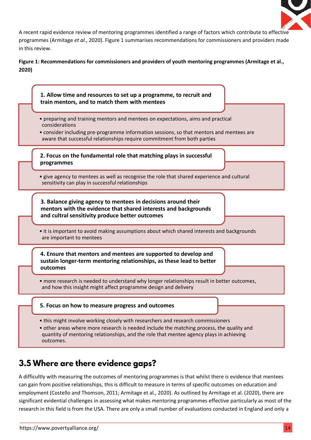

A recent rapid evidence review of mentoring programmes identified a range of factors which contribute to effective programmes (Armitage *et al.*, 2020). Figure 1 summarises recommendations for commissioners and providers made in this review.

**Figure 1: Recommendations for commissioners and providers of youth mentoring programmes (Armitage et al., 2020)**



## 3.5 Where are there evidence gaps?

A difficultly with measuring the outcomes of mentoring programmes is that whilst there is evidence that mentees can gain from positive relationships, this is difficult to measure in terms of specific outcomes on education and employment (Costello and Thomson, 2011; Armitage et al., 2020). As outlined by Armitage et al. (2020), there are significant evidential challenges in assessing what makes mentoring programmes effective particularly as most of the research in this field is from the USA. There are only a small number of evaluations conducted in England and only a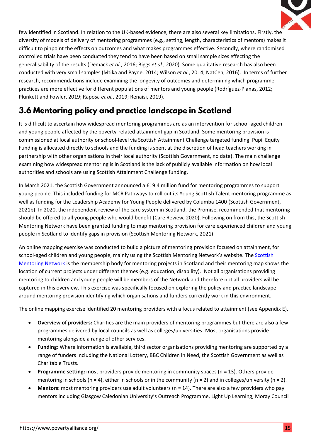

few identified in Scotland. In relation to the UK-based evidence, there are also several key limitations. Firstly, the diversity of models of delivery of mentoring programmes (e.g., setting, length, characteristics of mentors) makes it difficult to pinpoint the effects on outcomes and what makes programmes effective. Secondly, where randomised controlled trials have been conducted they tend to have been based on small sample sizes effecting the generalisability of the results (Demack *et al.*, 2016; Biggs *et al.*, 2020). Some qualitative research has also been conducted with very small samples (Mtika and Payne, 2014; Wilson *et al.*, 2014; NatCen, 2016). In terms of further research, recommendations include examining the longevity of outcomes and determining which programme practices are more effective for different populations of mentors and young people (Rodríguez-Planas, 2012; Plunkett and Fowler, 2019; Raposa *et al.*, 2019; Renaisi, 2019).

# 3.6 Mentoring policy and practice landscape in Scotland

It is difficult to ascertain how widespread mentoring programmes are as an intervention for school-aged children and young people affected by the poverty-related attainment gap in Scotland. Some mentoring provision is commissioned at local authority or school-level via Scottish Attainment Challenge targeted funding. Pupil Equity Funding is allocated directly to schools and the funding is spent at the discretion of head teachers working in partnership with other organisations in their local authority (Scottish Government, no date). The main challenge examining how widespread mentoring is in Scotland is the lack of publicly available information on how local authorities and schools are using Scottish Attainment Challenge funding.

In March 2021, the Scottish Government announced a £19.4 million fund for mentoring programmes to support young people. This included funding for MCR Pathways to roll out its Young Scottish Talent mentoring programme as well as funding for the Leadership Academy for Young People delivered by Columba 1400 (Scottish Government, 2021b). In 2020, the independent review of the care system in Scotland, the Promise, recommended that mentoring should be offered to all young people who would benefit (Care Review, 2020). Following on from this, the Scottish Mentoring Network have been granted funding to map mentoring provision for care experienced children and young people in Scotland to identify gaps in provision (Scottish Mentoring Network, 2021).

An online mapping exercise was conducted to build a picture of mentoring provision focused on attainment, for school-aged children and young people, mainly using the Scottish Mentoring Network's website. The [Scottish](https://scottishmentoringnetwork.co.uk/)  [Mentoring Network](https://scottishmentoringnetwork.co.uk/) is the membership body for mentoring projects in Scotland and their mentoring map shows the location of current projects under different themes (e.g. education, disability). Not all organisations providing mentoring to children and young people will be members of the Network and therefore not all providers will be captured in this overview. This exercise was specifically focused on exploring the policy and practice landscape around mentoring provision identifying which organisations and funders currently work in this environment.

The online mapping exercise identified 20 mentoring providers with a focus related to attainment (see Appendix E).

- **Overview of providers:** Charities are the main providers of mentoring programmes but there are also a few programmes delivered by local councils as well as colleges/universities. Most organisations provide mentoring alongside a range of other services.
- **Funding**: Where information is available, third sector organisations providing mentoring are supported by a range of funders including the National Lottery, BBC Children in Need, the Scottish Government as well as Charitable Trusts.
- **Programme setting:** most providers provide mentoring in community spaces (n = 13). Others provide mentoring in schools (n = 4), either in schools or in the community (n = 2) and in colleges/university (n = 2).
- **Mentors:** most mentoring providers use adult volunteers (n = 14). There are also a few providers who pay mentors including Glasgow Caledonian University's Outreach Programme, Light Up Learning, Moray Council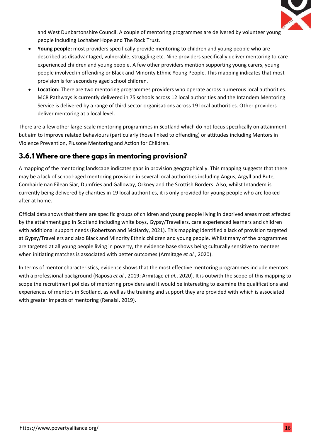

and West Dunbartonshire Council. A couple of mentoring programmes are delivered by volunteer young people including Lochaber Hope and The Rock Trust.

- **Young people:** most providers specifically provide mentoring to children and young people who are described as disadvantaged, vulnerable, struggling etc. Nine providers specifically deliver mentoring to care experienced children and young people. A few other providers mention supporting young carers, young people involved in offending or Black and Minority Ethnic Young People. This mapping indicates that most provision is for secondary aged school children.
- **Location:** There are two mentoring programmes providers who operate across numerous local authorities. MCR Pathways is currently delivered in 75 schools across 12 local authorities and the Intandem Mentoring Service is delivered by a range of third sector organisations across 19 local authorities. Other providers deliver mentoring at a local level.

There are a few other large-scale mentoring programmes in Scotland which do not focus specifically on attainment but aim to improve related behaviours (particularly those linked to offending) or attitudes including Mentors in Violence Prevention, Plusone Mentoring and Action for Children.

### 3.6.1 Where are there gaps in mentoring provision?

A mapping of the mentoring landscape indicates gaps in provision geographically. This mapping suggests that there may be a lack of school-aged mentoring provision in several local authorities including Angus, Argyll and Bute, Comhairle nan Eilean Siar, Dumfries and Galloway, Orkney and the Scottish Borders. Also, whilst Intandem is currently being delivered by charities in 19 local authorities, it is only provided for young people who are looked after at home.

Official data shows that there are specific groups of children and young people living in deprived areas most affected by the attainment gap in Scotland including white boys, Gypsy/Travellers, care experienced learners and children with additional support needs (Robertson and McHardy, 2021). This mapping identified a lack of provision targeted at Gypsy/Travellers and also Black and Minority Ethnic children and young people. Whilst many of the programmes are targeted at all young people living in poverty, the evidence base shows being culturally sensitive to mentees when initiating matches is associated with better outcomes (Armitage *et al.*, 2020).

In terms of mentor characteristics, evidence shows that the most effective mentoring programmes include mentors with a professional background (Raposa *et al.*, 2019; Armitage *et al.*, 2020). It is outwith the scope of this mapping to scope the recruitment policies of mentoring providers and it would be interesting to examine the qualifications and experiences of mentors in Scotland, as well as the training and support they are provided with which is associated with greater impacts of mentoring (Renaisi, 2019).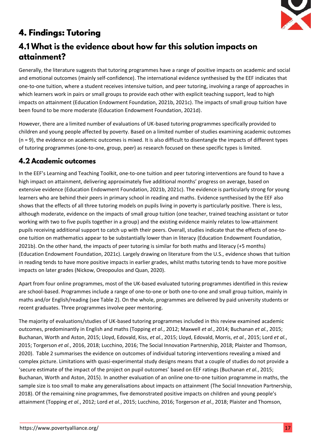

# **4. Findings: Tutoring**

## 4.1 What is the evidence about how far this solution impacts on attainment?

Generally, the literature suggests that tutoring programmes have a range of positive impacts on academic and social and emotional outcomes (mainly self-confidence). The international evidence synthesised by the EEF indicates that one-to-one tuition, where a student receives intensive tuition, and peer tutoring, involving a range of approaches in which learners work in pairs or small groups to provide each other with explicit teaching support, lead to high impacts on attainment (Education Endowment Foundation, 2021b, 2021c). The impacts of small group tuition have been found to be more moderate (Education Endowment Foundation, 2021d).

However, there are a limited number of evaluations of UK-based tutoring programmes specifically provided to children and young people affected by poverty. Based on a limited number of studies examining academic outcomes (n = 9), the evidence on academic outcomes is mixed. It is also difficult to disentangle the impacts of different types of tutoring programmes (one-to-one, group, peer) as research focused on these specific types is limited.

### **4.2 Academic outcomes**

In the EEF's Learning and Teaching Toolkit, one-to-one tuition and peer tutoring interventions are found to have a high impact on attainment, delivering approximately five additional months' progress on average, based on extensive evidence (Education Endowment Foundation, 2021b, 2021c). The evidence is particularly strong for young learners who are behind their peers in primary school in reading and maths. Evidence synthesised by the EEF also shows that the effects of all three tutoring models on pupils living in poverty is particularly positive. There is less, although moderate, evidence on the impacts of small group tuition (one teacher, trained teaching assistant or tutor working with two to five pupils together in a group) and the existing evidence mainly relates to low-attainment pupils receiving additional support to catch up with their peers. Overall, studies indicate that the effects of one-toone tuition on mathematics appear to be substantially lower than in literacy (Education Endowment Foundation, 2021b). On the other hand, the impacts of peer tutoring is similar for both maths and literacy (+5 months) (Education Endowment Foundation, 2021c). Largely drawing on literature from the U.S., evidence shows that tuition in reading tends to have more positive impacts in earlier grades, whilst maths tutoring tends to have more positive impacts on later grades (Nickow, Oreopoulos and Quan, 2020).

Apart from four online programmes, most of the UK-based evaluated tutoring programmes identified in this review are school-based. Programmes include a range of one-to-one or both one-to-one and small group tuition, mainly in maths and/or English/reading (see Table 2). On the whole, programmes are delivered by paid university students or recent graduates. Three programmes involve peer mentoring.

The majority of evaluations/studies of UK-based tutoring programmes included in this review examined academic outcomes, predominantly in English and maths (Topping *et al.*, 2012; Maxwell *et al.*, 2014; Buchanan *et al.*, 2015; Buchanan, Worth and Aston, 2015; Lloyd, Edovald, Kiss, *et al.*, 2015; Lloyd, Edovald, Morris, *et al.*, 2015; Lord *et al.*, 2015; Torgerson *et al.*, 2016, 2018; Lucchino, 2016; The Social Innovation Partnership, 2018; Plaister and Thomson, 2020). Table 2 summarises the evidence on outcomes of individual tutoring interventions revealing a mixed and complex picture. Limitations with quasi-experimental study designs means that a couple of studies do not provide a 'secure estimate of the impact of the project on pupil outcomes' based on EEF ratings (Buchanan *et al.*, 2015; Buchanan, Worth and Aston, 2015). In another evaluation of an online one-to-one tuition programme in maths, the sample size is too small to make any generalisations about impacts on attainment (The Social Innovation Partnership, 2018). Of the remaining nine programmes, five demonstrated positive impacts on children and young people's attainment (Topping *et al.*, 2012; Lord *et al.*, 2015; Lucchino, 2016; Torgerson *et al.*, 2018; Plaister and Thomson,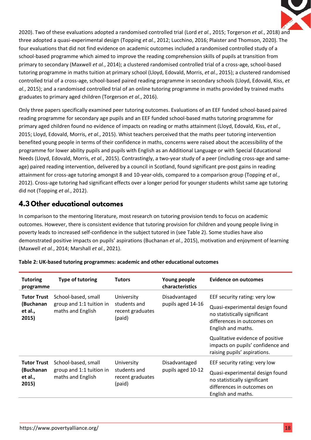

2020). Two of these evaluations adopted a randomised controlled trial (Lord *et al.*, 2015; Torgerson *et al.*, 2018) and three adopted a quasi-experimental design (Topping *et al.*, 2012; Lucchino, 2016; Plaister and Thomson, 2020). The four evaluations that did not find evidence on academic outcomes included a randomised controlled study of a school-based programme which aimed to improve the reading comprehension skills of pupils at transition from primary to secondary (Maxwell *et al.*, 2014); a clustered randomised controlled trial of a cross-age, school-based tutoring programme in maths tuition at primary school (Lloyd, Edovald, Morris, *et al.*, 2015); a clustered randomised controlled trial of a cross-age, school-based paired reading programme in secondary schools (Lloyd, Edovald, Kiss, *et al.*, 2015); and a randomised controlled trial of an online tutoring programme in maths provided by trained maths graduates to primary aged children (Torgerson *et al.*, 2016).

Only three papers specifically examined peer tutoring outcomes. Evaluations of an EEF funded school-based paired reading programme for secondary age pupils and an EEF funded school-based maths tutoring programme for primary aged children found no evidence of impacts on reading or maths attainment (Lloyd, Edovald, Kiss, *et al.*, 2015; Lloyd, Edovald, Morris, *et al.*, 2015). Whist teachers perceived that the maths peer tutoring intervention benefited young people in terms of their confidence in maths, concerns were raised about the accessibility of the programme for lower ability pupils and pupils with English as an Additional Language or with Special Educational Needs (Lloyd, Edovald, Morris, *et al.*, 2015). Contrastingly, a two-year study of a peer (including cross-age and sameage) paired reading intervention, delivered by a council in Scotland, found significant pre-post gains in reading attainment for cross-age tutoring amongst 8 and 10-year-olds, compared to a comparison group (Topping *et al.*, 2012). Cross-age tutoring had significant effects over a longer period for younger students whilst same age tutoring did not (Topping *et al.*, 2012).

### 4.3 Other educational outcomes

In comparison to the mentoring literature, most research on tutoring provision tends to focus on academic outcomes. However, there is consistent evidence that tutoring provision for children and young people living in poverty leads to increased self-confidence in the subject tutored in (see Table 2). Some studies have also demonstrated positive impacts on pupils' aspirations (Buchanan *et al.*, 2015), motivation and enjoyment of learning (Maxwell *et al.*, 2014; Marshall *et al.*, 2021).

| <b>Tutoring</b><br>programme                                                                                                | <b>Type of tutoring</b>                                              | <b>Tutors</b>                                            | Young people<br>characteristics    | Evidence on outcomes                                                                                                                                 |  |
|-----------------------------------------------------------------------------------------------------------------------------|----------------------------------------------------------------------|----------------------------------------------------------|------------------------------------|------------------------------------------------------------------------------------------------------------------------------------------------------|--|
| <b>Tutor Trust</b><br>School-based, small<br>group and 1:1 tuition in<br>(Buchanan<br>maths and English<br>et al.,<br>2015) |                                                                      | University<br>students and<br>recent graduates<br>(paid) | Disadvantaged<br>pupils aged 14-16 | EEF security rating: very low<br>Quasi-experimental design found<br>no statistically significant<br>differences in outcomes on<br>English and maths. |  |
|                                                                                                                             |                                                                      |                                                          |                                    | Qualitative evidence of positive<br>impacts on pupils' confidence and<br>raising pupils' aspirations.                                                |  |
| <b>Tutor Trust</b><br>(Buchanan<br>et al.,<br>2015)                                                                         | School-based, small<br>group and 1:1 tuition in<br>maths and English | University<br>students and<br>recent graduates<br>(paid) | Disadvantaged<br>pupils aged 10-12 | EEF security rating: very low<br>Quasi-experimental design found<br>no statistically significant<br>differences in outcomes on<br>English and maths. |  |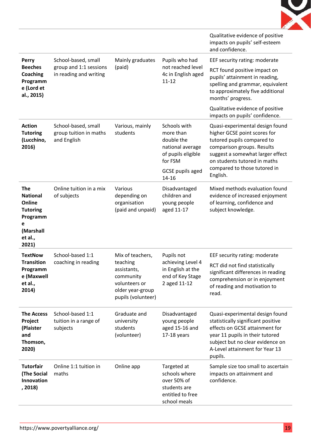

|                                                                                                     |                                                              |                                                                                                 |                                                                                                 | Qualitative evidence of positive<br>impacts on pupils' self-esteem<br>and confidence.                                                                                                                                       |
|-----------------------------------------------------------------------------------------------------|--------------------------------------------------------------|-------------------------------------------------------------------------------------------------|-------------------------------------------------------------------------------------------------|-----------------------------------------------------------------------------------------------------------------------------------------------------------------------------------------------------------------------------|
| Perry                                                                                               | School-based, small                                          | Mainly graduates                                                                                | Pupils who had                                                                                  | EEF security rating: moderate                                                                                                                                                                                               |
| <b>Beeches</b><br>Coaching<br>Programm<br>e (Lord et<br>al., 2015)                                  | group and 1:1 sessions<br>in reading and writing             | (paid)                                                                                          | not reached level<br>4c in English aged<br>$11 - 12$                                            | RCT found positive impact on<br>pupils' attainment in reading,<br>spelling and grammar, equivalent<br>to approximately five additional<br>months' progress.                                                                 |
|                                                                                                     |                                                              |                                                                                                 |                                                                                                 | Qualitative evidence of positive<br>impacts on pupils' confidence.                                                                                                                                                          |
| <b>Action</b><br><b>Tutoring</b><br>(Lucchino,<br>2016)                                             | School-based, small<br>group tuition in maths<br>and English | Various, mainly<br>students                                                                     | Schools with<br>more than<br>double the<br>national average<br>of pupils eligible<br>for FSM    | Quasi-experimental design found<br>higher GCSE point scores for<br>tutored pupils compared to<br>comparison groups. Results<br>suggest a somewhat larger effect<br>on students tutored in maths                             |
|                                                                                                     |                                                              |                                                                                                 | <b>GCSE</b> pupils aged<br>$14 - 16$                                                            | compared to those tutored in<br>English.                                                                                                                                                                                    |
| <b>The</b><br><b>National</b><br>Online<br><b>Tutoring</b><br>Programm<br>e<br>(Marshall<br>et al., | Online tuition in a mix<br>of subjects                       | Various<br>depending on<br>organisation<br>(paid and unpaid)                                    | Disadvantaged<br>children and<br>young people<br>aged 11-17                                     | Mixed methods evaluation found<br>evidence of increased enjoyment<br>of learning, confidence and<br>subject knowledge.                                                                                                      |
| 2021)<br><b>TextNow</b>                                                                             | School-based 1:1                                             | Mix of teachers,                                                                                | Pupils not                                                                                      | EEF security rating: moderate                                                                                                                                                                                               |
| <b>Transition</b><br>Programm<br>e (Maxwell<br>et al.,<br>2014)                                     | coaching in reading                                          | teaching<br>assistants,<br>community<br>volunteers or<br>older year-group<br>pupils (volunteer) | achieving Level 4<br>in English at the<br>end of Key Stage<br>2 aged 11-12                      | RCT did not find statistically<br>significant differences in reading<br>comprehension or in enjoyment<br>of reading and motivation to<br>read.                                                                              |
| <b>The Access</b><br>Project<br>(Plaister<br>and<br>Thomson,<br>2020)                               | School-based 1:1<br>tuition in a range of<br>subjects        | Graduate and<br>university<br>students<br>(volunteer)                                           | Disadvantaged<br>young people<br>aged 15-16 and<br>17-18 years                                  | Quasi-experimental design found<br>statistically significant positive<br>effects on GCSE attainment for<br>year 11 pupils in their tutored<br>subject but no clear evidence on<br>A-Level attainment for Year 13<br>pupils. |
| <b>Tutorfair</b><br>(The Social<br>Innovation<br>, 2018)                                            | Online 1:1 tuition in<br>maths                               | Online app                                                                                      | Targeted at<br>schools where<br>over 50% of<br>students are<br>entitled to free<br>school meals | Sample size too small to ascertain<br>impacts on attainment and<br>confidence.                                                                                                                                              |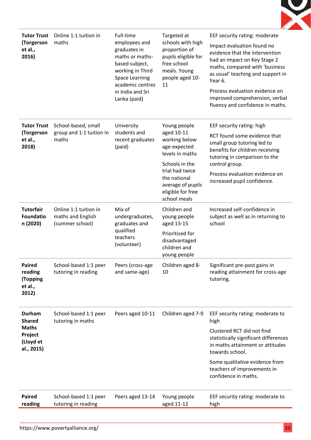

| <b>Tutor Trust</b><br>(Torgerson<br>et al.,<br>2016)                                 | Online 1:1 tuition in<br>maths                                | Full-time<br>employees and<br>graduates in<br>maths or maths-<br>based subject,<br>working in Third<br><b>Space Learning</b><br>academic centres<br>in India and Sri<br>Lanka (paid) | Targeted at<br>schools with high<br>proportion of<br>pupils eligible for<br>free school<br>meals. Young<br>people aged 10-<br>11                                                              | EEF security rating: moderate<br>Impact evaluation found no<br>evidence that the intervention<br>had an impact on Key Stage 2<br>maths, compared with 'business<br>as usual' teaching and support in<br>Year 6.<br>Process evaluation evidence on<br>improved comprehension, verbal<br>fluency and confidence in maths. |
|--------------------------------------------------------------------------------------|---------------------------------------------------------------|--------------------------------------------------------------------------------------------------------------------------------------------------------------------------------------|-----------------------------------------------------------------------------------------------------------------------------------------------------------------------------------------------|-------------------------------------------------------------------------------------------------------------------------------------------------------------------------------------------------------------------------------------------------------------------------------------------------------------------------|
| <b>Tutor Trust</b><br>(Torgerson<br>et al.,<br>2018)                                 | School-based, small<br>group and 1:1 tuition in<br>maths      | University<br>students and<br>recent graduates<br>(paid)                                                                                                                             | Young people<br>aged 10-11<br>working below<br>age-expected<br>levels in maths<br>Schools in the<br>trial had twice<br>the national<br>average of pupils<br>eligible for free<br>school meals | EEF security rating: high<br>RCT found some evidence that<br>small group tutoring led to<br>benefits for children receiving<br>tutoring in comparison to the<br>control group.<br>Process evaluation evidence on<br>increased pupil confidence.                                                                         |
| <b>Tutorfair</b><br><b>Foundatio</b><br>n (2020)                                     | Online 1:1 tuition in<br>maths and English<br>(summer school) | Mix of<br>undergraduates,<br>graduates and<br>qualified<br>teachers<br>(volunteer)                                                                                                   | Children and<br>young people<br>aged 13-15<br>Prioritised for<br>disadvantaged<br>children and<br>young people                                                                                | Increased self-confidence in<br>subject as well as in returning to<br>school                                                                                                                                                                                                                                            |
| <b>Paired</b><br>reading<br>(Topping<br>et al.,<br>2012)                             | School-based 1:1 peer<br>tutoring in reading                  | Peers (cross-age<br>and same-age)                                                                                                                                                    | Children aged 8-<br>10                                                                                                                                                                        | Significant pre-post gains in<br>reading attainment for cross-age<br>tutoring.                                                                                                                                                                                                                                          |
| <b>Durham</b><br><b>Shared</b><br><b>Maths</b><br>Project<br>(Lloyd et<br>al., 2015) | School-based 1:1 peer<br>tutoring in maths                    | Peers aged 10-11                                                                                                                                                                     | Children aged 7-9                                                                                                                                                                             | EEF security rating: moderate to<br>high<br>Clustered RCT did not find<br>statistically significant differences<br>in maths attainment or attitudes<br>towards school.<br>Some qualitative evidence from<br>teachers of improvements in<br>confidence in maths.                                                         |
| <b>Paired</b><br>reading                                                             | School-based 1:1 peer<br>tutoring in reading                  | Peers aged 13-14                                                                                                                                                                     | Young people<br>aged 11-12                                                                                                                                                                    | EEF security rating: moderate to<br>high                                                                                                                                                                                                                                                                                |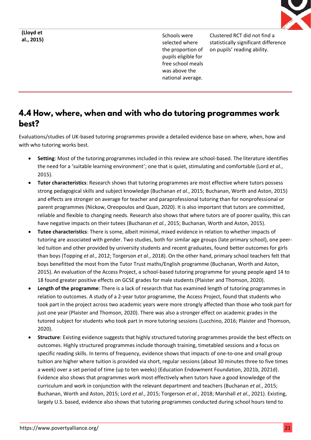

**(Lloyd et** 

**al., 2015)** Schools were selected where the proportion of pupils eligible for free school meals was above the national average.

Clustered RCT did not find a statistically significant difference on pupils' reading ability.

## 4.4 How, where, when and with who do tutoring programmes work best?

Evaluations/studies of UK-based tutoring programmes provide a detailed evidence base on where, when, how and with who tutoring works best.

- **Setting**: Most of the tutoring programmes included in this review are school-based. The literature identifies the need for a 'suitable learning environment'; one that is quiet, stimulating and comfortable (Lord *et al.*, 2015).
- **Tutor characteristics**: Research shows that tutoring programmes are most effective where tutors possess strong pedagogical skills and subject knowledge (Buchanan *et al.*, 2015; Buchanan, Worth and Aston, 2015) and effects are stronger on average for teacher and paraprofessional tutoring than for nonprofessional or parent programmes (Nickow, Oreopoulos and Quan, 2020). It is also important that tutors are committed, reliable and flexible to changing needs. Research also shows that where tutors are of poorer quality, this can have negative impacts on their tutees (Buchanan *et al.*, 2015; Buchanan, Worth and Aston, 2015).
- **Tutee characteristics**: There is some, albeit minimal, mixed evidence in relation to whether impacts of tutoring are associated with gender. Two studies, both for similar age groups (late primary school), one peerled tuition and other provided by university students and recent graduates, found better outcomes for girls than boys (Topping *et al.*, 2012; Torgerson *et al.*, 2018). On the other hand, primary school teachers felt that boys benefitted the most from the Tutor Trust maths/English programme (Buchanan, Worth and Aston, 2015). An evaluation of the Access Project, a school-based tutoring programme for young people aged 14 to 18 found greater positive effects on GCSE grades for male students (Plaister and Thomson, 2020).
- **Length of the programme**: There is a lack of research that has examined length of tutoring programmes in relation to outcomes. A study of a 2-year tutor programme, the Access Project, found that students who took part in the project across two academic years were more strongly affected than those who took part for just one year (Plaister and Thomson, 2020). There was also a stronger effect on academic grades in the tutored subject for students who took part in more tutoring sessions (Lucchino, 2016; Plaister and Thomson, 2020).
- **Structure**: Existing evidence suggests that highly structured tutoring programmes provide the best effects on outcomes. Highly structured programmes include thorough training, timetabled sessions and a focus on specific reading skills. In terms of frequency, evidence shows that impacts of one-to-one and small group tuition are higher where tuition is provided via short, regular sessions (about 30 minutes three to five times a week) over a set period of time (up to ten weeks) (Education Endowment Foundation, 2021b, 2021d). Evidence also shows that programmes work most effectively when tutors have a good knowledge of the curriculum and work in conjunction with the relevant department and teachers (Buchanan *et al.*, 2015; Buchanan, Worth and Aston, 2015; Lord *et al.*, 2015; Torgerson *et al.*, 2018; Marshall *et al.*, 2021). Existing, largely U.S. based, evidence also shows that tutoring programmes conducted during school hours tend to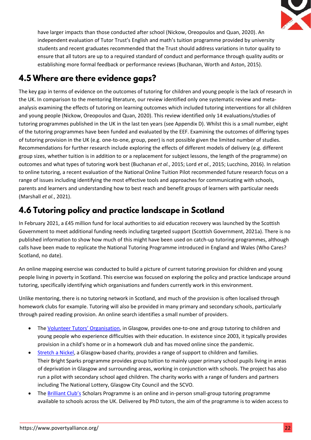

have larger impacts than those conducted after school (Nickow, Oreopoulos and Quan, 2020). An independent evaluation of Tutor Trust's English and math's tuition programme provided by university students and recent graduates recommended that the Trust should address variations in tutor quality to ensure that all tutors are up to a required standard of conduct and performance through quality audits or establishing more formal feedback or performance reviews (Buchanan, Worth and Aston, 2015).

# 4.5 Where are there evidence gaps?

The key gap in terms of evidence on the outcomes of tutoring for children and young people is the lack of research in the UK. In comparison to the mentoring literature, our review identified only one systematic review and metaanalysis examining the effects of tutoring on learning outcomes which included tutoring interventions for all children and young people (Nickow, Oreopoulos and Quan, 2020). This review identified only 14 evaluations/studies of tutoring programmes published in the UK in the last ten years (see Appendix D). Whilst this is a small number, eight of the tutoring programmes have been funded and evaluated by the EEF. Examining the outcomes of differing types of tutoring provision in the UK (e.g. one-to-one, group, peer) is not possible given the limited number of studies. Recommendations for further research include exploring the effects of different models of delivery (e.g. different group sizes, whether tuition is in addition to or a replacement for subject lessons, the length of the programme) on outcomes and what types of tutoring work best (Buchanan *et al.*, 2015; Lord *et al.*, 2015; Lucchino, 2016). In relation to online tutoring, a recent evaluation of the National Online Tuition Pilot recommended future research focus on a range of issues including identifying the most effective tools and approaches for communicating with schools, parents and learners and understanding how to best reach and benefit groups of learners with particular needs (Marshall *et al.*, 2021).

# 4.6 Tutoring policy and practice landscape in Scotland

In February 2021, a £45 million fund for local authorities to aid education recovery was launched by the Scottish Government to meet additional funding needs including targeted support (Scottish Government, 2021a). There is no published information to show how much of this might have been used on catch-up tutoring programmes, although calls have been made to replicate the National Tutoring Programme introduced in England and Wales (Who Cares? Scotland, no date).

An online mapping exercise was conducted to build a picture of current tutoring provision for children and young people living in poverty in Scotland. This exercise was focused on exploring the policy and practice landscape around tutoring, specifically identifying which organisations and funders currently work in this environment.

Unlike mentoring, there is no tutoring network in Scotland, and much of the provision is often localised through homework clubs for example. Tutoring will also be provided in many primary and secondary schools, particularly through paired reading provision. An online search identifies a small number of providers.

- The [Volunteer Tutors' Organisation](https://www.vtoscotland.org/), in Glasgow, provides one-to-one and group tutoring to children and young people who experience difficulties with their education. In existence since 2003, it typically provides provision in a child's home or in a homework club and has moved online since the pandemic.
- [Stretch a Nickel,](https://www.stretchanickel.org/what-we-do) a Glasgow-based charity, provides a range of support to children and families. Their Bright Sparks programme provides group tuition to mainly upper primary school pupils living in areas of deprivation in Glasgow and surrounding areas, working in conjunction with schools. The project has also run a pilot with secondary school aged children. The charity works with a range of funders and partners including The National Lottery, Glasgow City Council and the SCVO.
- The **Brilliant Club's** Scholars Programme is an online and in-person small-group tutoring programme available to schools across the UK. Delivered by PhD tutors, the aim of the programme is to widen access to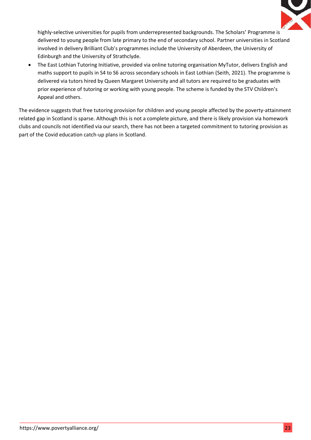

highly-selective universities for pupils from underrepresented backgrounds. The Scholars' Programme is delivered to young people from late primary to the end of secondary school. Partner universities in Scotland involved in delivery Brilliant Club's programmes include the University of Aberdeen, the University of Edinburgh and the University of Strathclyde.

• The East Lothian Tutoring Initiative, provided via online tutoring organisation MyTutor, delivers English and maths support to pupils in S4 to S6 across secondary schools in East Lothian (Seith, 2021). The programme is delivered via tutors hired by Queen Margaret University and all tutors are required to be graduates with prior experience of tutoring or working with young people. The scheme is funded by the STV Children's Appeal and others.

The evidence suggests that free tutoring provision for children and young people affected by the poverty-attainment related gap in Scotland is sparse. Although this is not a complete picture, and there is likely provision via homework clubs and councils not identified via our search, there has not been a targeted commitment to tutoring provision as part of the Covid education catch-up plans in Scotland.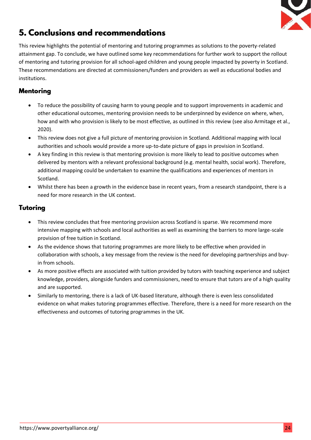

# 5. Conclusions and recommendations

This review highlights the potential of mentoring and tutoring programmes as solutions to the poverty-related attainment gap. To conclude, we have outlined some key recommendations for further work to support the rollout of mentoring and tutoring provision for all school-aged children and young people impacted by poverty in Scotland. These recommendations are directed at commissioners/funders and providers as well as educational bodies and institutions.

### **Mentorina**

- To reduce the possibility of causing harm to young people and to support improvements in academic and other educational outcomes, mentoring provision needs to be underpinned by evidence on where, when, how and with who provision is likely to be most effective, as outlined in this review (see also Armitage et al., 2020).
- This review does not give a full picture of mentoring provision in Scotland. Additional mapping with local authorities and schools would provide a more up-to-date picture of gaps in provision in Scotland.
- A key finding in this review is that mentoring provision is more likely to lead to positive outcomes when delivered by mentors with a relevant professional background (e.g. mental health, social work). Therefore, additional mapping could be undertaken to examine the qualifications and experiences of mentors in Scotland.
- Whilst there has been a growth in the evidence base in recent years, from a research standpoint, there is a need for more research in the UK context.

### Tutoring

- This review concludes that free mentoring provision across Scotland is sparse. We recommend more intensive mapping with schools and local authorities as well as examining the barriers to more large-scale provision of free tuition in Scotland.
- As the evidence shows that tutoring programmes are more likely to be effective when provided in collaboration with schools, a key message from the review is the need for developing partnerships and buyin from schools.
- As more positive effects are associated with tuition provided by tutors with teaching experience and subject knowledge, providers, alongside funders and commissioners, need to ensure that tutors are of a high quality and are supported.
- Similarly to mentoring, there is a lack of UK-based literature, although there is even less consolidated evidence on what makes tutoring programmes effective. Therefore, there is a need for more research on the effectiveness and outcomes of tutoring programmes in the UK.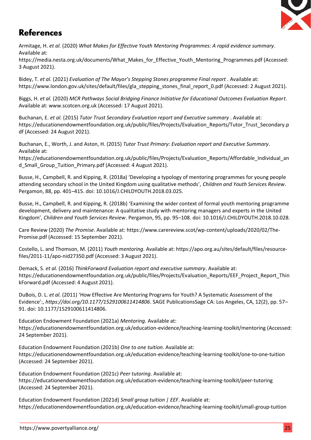

## **References**

Armitage, H. *et al.* (2020) *What Makes for Effective Youth Mentoring Programmes: A rapid evidence summary*. Available at:

https://media.nesta.org.uk/documents/What\_Makes\_for\_Effective\_Youth\_Mentoring\_Programmes.pdf (Accessed: 3 August 2021).

Bidey, T. *et al.* (2021) *Evaluation of The Mayor's Stepping Stones programme Final report* . Available at: https://www.london.gov.uk/sites/default/files/gla\_stepping\_stones\_final\_report\_0.pdf (Accessed: 2 August 2021).

Biggs, H. *et al.* (2020) *MCR Pathways Social Bridging Finance Initiative for Educational Outcomes Evaluation Report*. Available at: www.scotcen.org.uk (Accessed: 17 August 2021).

Buchanan, E. *et al.* (2015) *Tutor Trust Secondary Evaluation report and Executive summary* . Available at: https://educationendowmentfoundation.org.uk/public/files/Projects/Evaluation\_Reports/Tutor\_Trust\_Secondary.p df (Accessed: 24 August 2021).

Buchanan, E., Worth, J. and Aston, H. (2015) *Tutor Trust Primary: Evaluation report and Executive Summary*. Available at:

https://educationendowmentfoundation.org.uk/public/files/Projects/Evaluation\_Reports/Affordable\_Individual\_an d Small Group Tuition Primary.pdf (Accessed: 4 August 2021).

Busse, H., Campbell, R. and Kipping, R. (2018a) 'Developing a typology of mentoring programmes for young people attending secondary school in the United Kingdom using qualitative methods', *Children and Youth Services Review*. Pergamon, 88, pp. 401–415. doi: 10.1016/J.CHILDYOUTH.2018.03.025.

Busse, H., Campbell, R. and Kipping, R. (2018b) 'Examining the wider context of formal youth mentoring programme development, delivery and maintenance: A qualitative study with mentoring managers and experts in the United Kingdom', *Children and Youth Services Review*. Pergamon, 95, pp. 95–108. doi: 10.1016/J.CHILDYOUTH.2018.10.028.

Care Review (2020) *The Promise*. Available at: https://www.carereview.scot/wp-content/uploads/2020/02/The-Promise.pdf (Accessed: 15 September 2021).

Costello, L. and Thomson, M. (2011) *Youth mentoring*. Available at: https://apo.org.au/sites/default/files/resourcefiles/2011-11/apo-nid27350.pdf (Accessed: 3 August 2021).

Demack, S. *et al.* (2016) *ThinkForward Evaluation report and executive summary*. Available at: https://educationendowmentfoundation.org.uk/public/files/Projects/Evaluation\_Reports/EEF\_Project\_Report\_Thin kForward.pdf (Accessed: 4 August 2021).

DuBois, D. L. *et al.* (2011) 'How Effective Are Mentoring Programs for Youth? A Systematic Assessment of the Evidence':, *https://doi.org/10.1177/1529100611414806*. SAGE PublicationsSage CA: Los Angeles, CA, 12(2), pp. 57– 91. doi: 10.1177/1529100611414806.

Education Endowment Foundation (2021a) *Mentoring*. Available at: https://educationendowmentfoundation.org.uk/education-evidence/teaching-learning-toolkit/mentoring (Accessed: 24 September 2021).

Education Endowment Foundation (2021b) *One to one tuition*. Available at: https://educationendowmentfoundation.org.uk/education-evidence/teaching-learning-toolkit/one-to-one-tuition (Accessed: 24 September 2021).

Education Endowment Foundation (2021c) *Peer tutoring*. Available at: https://educationendowmentfoundation.org.uk/education-evidence/teaching-learning-toolkit/peer-tutoring (Accessed: 24 September 2021).

Education Endowment Foundation (2021d) *Small group tuition | EEF*. Available at: https://educationendowmentfoundation.org.uk/education-evidence/teaching-learning-toolkit/small-group-tuition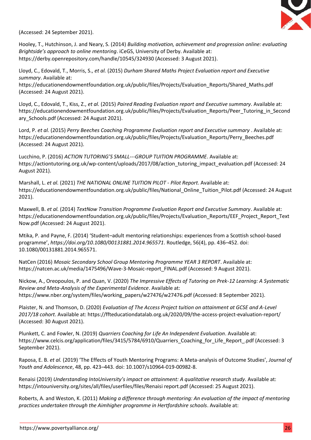

(Accessed: 24 September 2021).

Hooley, T., Hutchinson, J. and Neary, S. (2014) *Building motivation, achievement and progression online: evaluating Brightside's approach to online mentoring*. iCeGS, University of Derby. Available at: https://derby.openrepository.com/handle/10545/324930 (Accessed: 3 August 2021).

Lloyd, C., Edovald, T., Morris, S., *et al.* (2015) *Durham Shared Maths Project Evaluation report and Executive summary*. Available at:

https://educationendowmentfoundation.org.uk/public/files/Projects/Evaluation\_Reports/Shared\_Maths.pdf (Accessed: 24 August 2021).

Lloyd, C., Edovald, T., Kiss, Z., *et al.* (2015) *Paired Reading Evaluation report and Executive summary*. Available at: https://educationendowmentfoundation.org.uk/public/files/Projects/Evaluation\_Reports/Peer\_Tutoring\_in\_Second ary Schools.pdf (Accessed: 24 August 2021).

Lord, P. *et al.* (2015) *Perry Beeches Coaching Programme Evaluation report and Executive summary* . Available at: https://educationendowmentfoundation.org.uk/public/files/Projects/Evaluation\_Reports/Perry\_Beeches.pdf (Accessed: 24 August 2021).

Lucchino, P. (2016) *ACTION TUTORING'S SMALL---GROUP TUITION PROGRAMME*. Available at: https://actiontutoring.org.uk/wp-content/uploads/2017/08/action\_tutoring\_impact\_evaluation.pdf (Accessed: 24 August 2021).

Marshall, L. *et al.* (2021) *THE NATIONAL ONLINE TUITION PILOT - Pilot Report*. Available at: https://educationendowmentfoundation.org.uk/public/files/National\_Online\_Tuition\_Pilot.pdf (Accessed: 24 August 2021).

Maxwell, B. *et al.* (2014) *TextNow Transition Programme Evaluation Report and Executive Summary*. Available at: https://educationendowmentfoundation.org.uk/public/files/Projects/Evaluation\_Reports/EEF\_Project\_Report\_Text Now.pdf (Accessed: 24 August 2021).

Mtika, P. and Payne, F. (2014) 'Student–adult mentoring relationships: experiences from a Scottish school-based programme', *https://doi.org/10.1080/00131881.2014.965571*. Routledge, 56(4), pp. 436–452. doi: 10.1080/00131881.2014.965571.

NatCen (2016) *Mosaic Secondary School Group Mentoring Programme YEAR 3 REPORT*. Available at: https://natcen.ac.uk/media/1475496/Wave-3-Mosaic-report\_FINAL.pdf (Accessed: 9 August 2021).

Nickow, A., Oreopoulos, P. and Quan, V. (2020) *The Impressive Effects of Tutoring on Prek-12 Learning: A Systematic Review and Meta-Analysis of the Experimental Evidence*. Available at: https://www.nber.org/system/files/working\_papers/w27476/w27476.pdf (Accessed: 8 September 2021).

Plaister, N. and Thomson, D. (2020) *Evaluation of The Access Project tuition on attainment at GCSE and A-Level 2017/18 cohort*. Available at: https://ffteducationdatalab.org.uk/2020/09/the-access-project-evaluation-report/ (Accessed: 30 August 2021).

Plunkett, C. and Fowler, N. (2019) *Quarriers Coaching for Life An Independent Evaluation*. Available at: https://www.celcis.org/application/files/3415/5784/6910/Quarriers\_Coaching\_for\_Life\_Report\_.pdf (Accessed: 3 September 2021).

Raposa, E. B. *et al.* (2019) 'The Effects of Youth Mentoring Programs: A Meta-analysis of Outcome Studies', *Journal of Youth and Adolescence*, 48, pp. 423–443. doi: 10.1007/s10964-019-00982-8.

Renaisi (2019) *Understanding IntoUniversity's impact on attainment: A qualitative research study*. Available at: https://intouniversity.org/sites/all/files/userfiles/files/Renaisi report.pdf (Accessed: 25 August 2021).

Roberts, A. and Weston, K. (2011) *Making a difference through mentoring: An evaluation of the impact of mentoring practices undertaken through the Aimhigher programme in Hertfordshire schools*. Available at: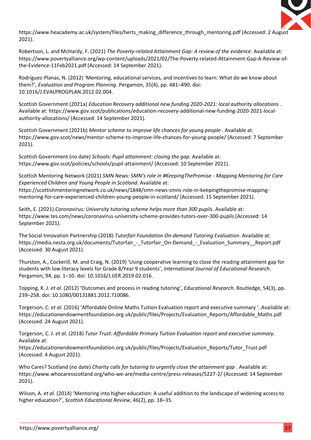

https://www.heacademy.ac.uk/system/files/herts\_making\_difference\_through\_mentoring.pdf (Accessed: 2 August 2021).

Robertson, L. and McHardy, F. (2021) *The Poverty-related Attainment Gap: A review of the evidence*. Available at: https://www.povertyalliance.org/wp-content/uploads/2021/02/The-Poverty-related-Attainment-Gap-A-Review-ofthe-Evidence-11Feb2021.pdf (Accessed: 14 September 2021).

Rodríguez-Planas, N. (2012) 'Mentoring, educational services, and incentives to learn: What do we know about them?', *Evaluation and Program Planning*. Pergamon, 35(4), pp. 481–490. doi: 10.1016/J.EVALPROGPLAN.2012.02.004.

Scottish Government (2021a) *Education Recovery additional new funding 2020-2021: local authority allocations* . Available at: https://www.gov.scot/publications/education-recovery-additional-new-funding-2020-2021-localauthority-allocations/ (Accessed: 14 September 2021).

Scottish Government (2021b) *Mentor scheme to improve life chances for young people* . Available at: https://www.gov.scot/news/mentor-scheme-to-improve-life-chances-for-young-people/ (Accessed: 7 September 2021).

Scottish Government (no date) *Schools: Pupil attainment: closing the gap*. Available at: https://www.gov.scot/policies/schools/pupil-attainment/ (Accessed: 10 September 2021).

Scottish Mentoring Network (2021) *SMN News: SMN's role in #KeepingThePromise - Mapping Mentoring for Care Experienced Children and Young People in Scotland*. Available at: https://scottishmentoringnetwork.co.uk/news/1848/smn-news-smns-role-in-keepingthepromise-mappingmentoring-for-care-experienced-children-young-people-in-scotland/ (Accessed: 15 September 2021).

Seith, E. (2021) *Coronavirus: University tutoring scheme helps more than 300 pupils*. Available at: https://www.tes.com/news/coronavirus-university-scheme-provides-tutors-over-300-pupils (Accessed: 14 September 2021).

The Social Innovation Partnership (2018) *Tutorfair Foundation On-demand Tutoring Evaluation*. Available at: https://media.nesta.org.uk/documents/Tutorfair\_-\_Tutorfair\_On-Demand\_-\_Evaluation\_Summary\_\_Report.pdf (Accessed: 30 August 2021).

Thurston, A., Cockerill, M. and Craig, N. (2019) 'Using cooperative learning to close the reading attainment gap for students with low literacy levels for Grade 8/Year 9 students', *International Journal of Educational Research*. Pergamon, 94, pp. 1–10. doi: 10.1016/J.IJER.2019.02.016.

Topping, K. J. *et al.* (2012) 'Outcomes and process in reading tutoring', *Educational Research*. Routledge, 54(3), pp. 239–258. doi: 10.1080/00131881.2012.710086.

Torgerson, C. *et al.* (2016) 'Affordable Online Maths Tuition Evaluation report and executive summary '. Available at: https://educationendowmentfoundation.org.uk/public/files/Projects/Evaluation\_Reports/Affordable\_Maths.pdf (Accessed: 24 August 2021).

Torgerson, C. J. *et al.* (2018) *Tutor Trust: Affordable Primary Tuition Evaluation report and executive summary*. Available at:

https://educationendowmentfoundation.org.uk/public/files/Projects/Evaluation\_Reports/Tutor\_Trust.pdf (Accessed: 4 August 2021).

Who Cares? Scotland (no date) *Charity calls for tutoring to urgently close the attainment gap* . Available at: https://www.whocaresscotland.org/who-we-are/media-centre/press-releases/5227-2/ (Accessed: 14 September 2021).

Wilson, A. *et al.* (2014) 'Mentoring into higher education: A useful addition to the landscape of widening access to higher education?', *Scottish Educational Review*, 46(2), pp. 18–35.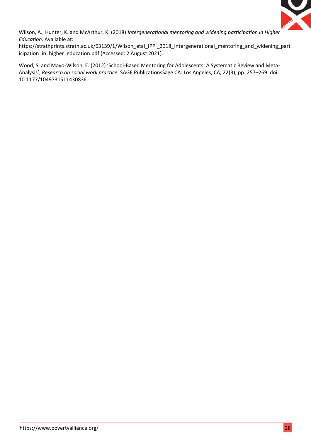

Wilson, A., Hunter, K. and McArthur, K. (2018) *Intergenerational mentoring and widening participation in Higher Education*. Available at:

https://strathprints.strath.ac.uk/63139/1/Wilson\_etal\_IPPI\_2018\_Intergenerational\_mentoring\_and\_widening\_part icipation\_in\_higher\_education.pdf (Accessed: 2 August 2021).

Wood, S. and Mayo-Wilson, E. (2012) 'School-Based Mentoring for Adolescents: A Systematic Review and Meta-Analysis', *Research on social work practice*. SAGE PublicationsSage CA: Los Angeles, CA, 22(3), pp. 257–269. doi: 10.1177/1049731511430836.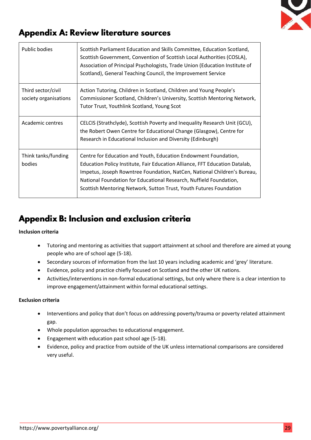

## **Appendix A: Review literature sources**

| <b>Public bodies</b>                        | Scottish Parliament Education and Skills Committee, Education Scotland,<br>Scottish Government, Convention of Scottish Local Authorities (COSLA),<br>Association of Principal Psychologists, Trade Union (Education Institute of<br>Scotland), General Teaching Council, the Improvement Service                                                                       |
|---------------------------------------------|------------------------------------------------------------------------------------------------------------------------------------------------------------------------------------------------------------------------------------------------------------------------------------------------------------------------------------------------------------------------|
| Third sector/civil<br>society organisations | Action Tutoring, Children in Scotland, Children and Young People's<br>Commissioner Scotland, Children's University, Scottish Mentoring Network,<br>Tutor Trust, Youthlink Scotland, Young Scot                                                                                                                                                                         |
| Academic centres                            | CELCIS (Strathclyde), Scottish Poverty and Inequality Research Unit (GCU),<br>the Robert Owen Centre for Educational Change (Glasgow), Centre for<br>Research in Educational Inclusion and Diversity (Edinburgh)                                                                                                                                                       |
| Think tanks/funding<br>bodies               | Centre for Education and Youth, Education Endowment Foundation,<br>Education Policy Institute, Fair Education Alliance, FFT Education Datalab,<br>Impetus, Joseph Rowntree Foundation, NatCen, National Children's Bureau,<br>National Foundation for Educational Research, Nuffield Foundation,<br>Scottish Mentoring Network, Sutton Trust, Youth Futures Foundation |

# Appendix B: Inclusion and exclusion criteria

#### **Inclusion criteria**

- Tutoring and mentoring as activities that support attainment at school and therefore are aimed at young people who are of school age (5-18).
- Secondary sources of information from the last 10 years including academic and 'grey' literature.
- Evidence, policy and practice chiefly focused on Scotland and the other UK nations.
- Activities/interventions in non-formal educational settings, but only where there is a clear intention to improve engagement/attainment within formal educational settings.

#### **Exclusion criteria**

- Interventions and policy that don't focus on addressing poverty/trauma or poverty related attainment gap.
- Whole population approaches to educational engagement.
- Engagement with education past school age (5-18).
- Evidence, policy and practice from outside of the UK unless international comparisons are considered very useful.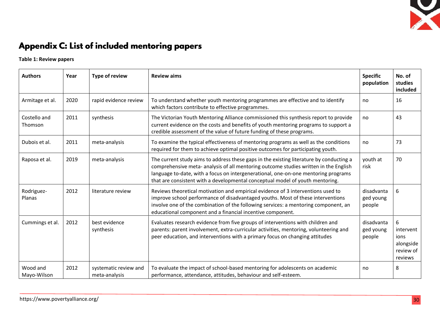

# Appendix C: List of included mentoring papers

**Table 1: Review papers**

| <b>Authors</b>          | Year | <b>Type of review</b>                  | <b>Review aims</b>                                                                                                                                                                                                                                                                                                                                     | <b>Specific</b><br>population     | No. of<br>studies<br>included                               |
|-------------------------|------|----------------------------------------|--------------------------------------------------------------------------------------------------------------------------------------------------------------------------------------------------------------------------------------------------------------------------------------------------------------------------------------------------------|-----------------------------------|-------------------------------------------------------------|
| Armitage et al.         | 2020 | rapid evidence review                  | To understand whether youth mentoring programmes are effective and to identify<br>which factors contribute to effective programmes.                                                                                                                                                                                                                    | no                                | 16                                                          |
| Costello and<br>Thomson | 2011 | synthesis                              | The Victorian Youth Mentoring Alliance commissioned this synthesis report to provide<br>current evidence on the costs and benefits of youth mentoring programs to support a<br>credible assessment of the value of future funding of these programs.                                                                                                   | no                                | 43                                                          |
| Dubois et al.           | 2011 | meta-analysis                          | To examine the typical effectiveness of mentoring programs as well as the conditions<br>required for them to achieve optimal positive outcomes for participating youth.                                                                                                                                                                                | no                                | 73                                                          |
| Raposa et al.           | 2019 | meta-analysis                          | The current study aims to address these gaps in the existing literature by conducting a<br>comprehensive meta- analysis of all mentoring outcome studies written in the English<br>language to-date, with a focus on intergenerational, one-on-one mentoring programs<br>that are consistent with a developmental conceptual model of youth mentoring. | youth at<br>risk                  | 70                                                          |
| Rodriguez-<br>Planas    | 2012 | literature review                      | Reviews theoretical motivation and empirical evidence of 3 interventions used to<br>improve school performance of disadvantaged youths. Most of these interventions<br>involve one of the combination of the following services: a mentoring component, an<br>educational component and a financial incentive component.                               | disadvanta<br>ged young<br>people | 6                                                           |
| Cummings et al.         | 2012 | best evidence<br>synthesis             | Evaluates research evidence from five groups of interventions with children and<br>parents: parent involvement, extra-curricular activities, mentoring, volunteering and<br>peer education, and interventions with a primary focus on changing attitudes                                                                                               | disadvanta<br>ged young<br>people | 6<br>intervent<br>ions<br>alongside<br>review of<br>reviews |
| Wood and<br>Mayo-Wilson | 2012 | systematic review and<br>meta-analysis | To evaluate the impact of school-based mentoring for adolescents on academic<br>performance, attendance, attitudes, behaviour and self-esteem.                                                                                                                                                                                                         | no                                | 8                                                           |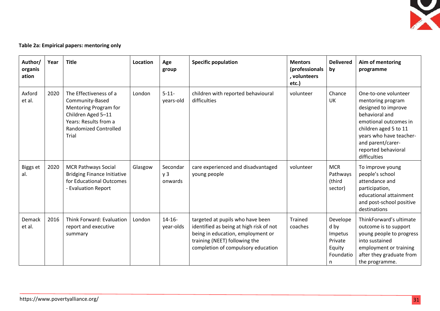

### **Table 2a: Empirical papers: mentoring only**

| Author/<br>organis<br>ation | Year | <b>Title</b>                                                                                                                                               | Location | Age<br>group                          | <b>Specific population</b>                                                                                                                                                              | <b>Mentors</b><br>(professionals<br>, volunteers<br>etc.) | <b>Delivered</b><br>by                                             | Aim of mentoring<br>programme                                                                                                                                                                                               |
|-----------------------------|------|------------------------------------------------------------------------------------------------------------------------------------------------------------|----------|---------------------------------------|-----------------------------------------------------------------------------------------------------------------------------------------------------------------------------------------|-----------------------------------------------------------|--------------------------------------------------------------------|-----------------------------------------------------------------------------------------------------------------------------------------------------------------------------------------------------------------------------|
| Axford<br>et al.            | 2020 | The Effectiveness of a<br>Community-Based<br>Mentoring Program for<br>Children Aged 5-11<br>Years: Results from a<br><b>Randomized Controlled</b><br>Trial | London   | $5 - 11 -$<br>years-old               | children with reported behavioural<br>difficulties                                                                                                                                      | volunteer                                                 | Chance<br>UK                                                       | One-to-one volunteer<br>mentoring program<br>designed to improve<br>behavioral and<br>emotional outcomes in<br>children aged 5 to 11<br>years who have teacher-<br>and parent/carer-<br>reported behavioral<br>difficulties |
| Biggs et<br>al.             | 2020 | <b>MCR Pathways Social</b><br><b>Bridging Finance Initiative</b><br>for Educational Outcomes<br>- Evaluation Report                                        | Glasgow  | Secondar<br>y <sub>3</sub><br>onwards | care experienced and disadvantaged<br>young people                                                                                                                                      | volunteer                                                 | <b>MCR</b><br>Pathways<br>(third<br>sector)                        | To improve young<br>people's school<br>attendance and<br>participation,<br>educational attainment<br>and post-school positive<br>destinations                                                                               |
| Demack<br>et al.            | 2016 | Think Forward: Evaluation<br>report and executive<br>summary                                                                                               | London   | $14 - 16 -$<br>year-olds              | targeted at pupils who have been<br>identified as being at high risk of not<br>being in education, employment or<br>training (NEET) following the<br>completion of compulsory education | <b>Trained</b><br>coaches                                 | Develope<br>d by<br>Impetus<br>Private<br>Equity<br>Foundatio<br>n | ThinkForward's ultimate<br>outcome is to support<br>young people to progress<br>into sustained<br>employment or training<br>after they graduate from<br>the programme.                                                      |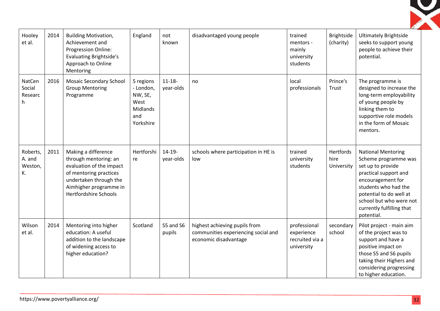

| Hooley<br>et al.                    | 2014 | <b>Building Motivation,</b><br>Achievement and<br>Progression Online:<br><b>Evaluating Brightside's</b><br>Approach to Online<br>Mentoring                                             | England                                                                   | not<br>known             | disadvantaged young people                                                                    | trained<br>mentors -<br>mainly<br>university<br>students    | Brightside<br>(charity)         | <b>Ultimately Brightside</b><br>seeks to support young<br>people to achieve their<br>potential.                                                                                                                                               |
|-------------------------------------|------|----------------------------------------------------------------------------------------------------------------------------------------------------------------------------------------|---------------------------------------------------------------------------|--------------------------|-----------------------------------------------------------------------------------------------|-------------------------------------------------------------|---------------------------------|-----------------------------------------------------------------------------------------------------------------------------------------------------------------------------------------------------------------------------------------------|
| NatCen<br>Social<br>Researc<br>h    | 2016 | <b>Mosaic Secondary School</b><br><b>Group Mentoring</b><br>Programme                                                                                                                  | 5 regions<br>- London,<br>NW, SE,<br>West<br>Midlands<br>and<br>Yorkshire | $11 - 18 -$<br>year-olds | no                                                                                            | local<br>professionals                                      | Prince's<br>Trust               | The programme is<br>designed to increase the<br>long-term employability<br>of young people by<br>linking them to<br>supportive role models<br>in the form of Mosaic<br>mentors.                                                               |
| Roberts,<br>A. and<br>Weston,<br>K. | 2011 | Making a difference<br>through mentoring: an<br>evaluation of the impact<br>of mentoring practices<br>undertaken through the<br>Aimhigher programme in<br><b>Hertfordshire Schools</b> | Hertforshi<br>re                                                          | $14 - 19 -$<br>year-olds | schools where participation in HE is<br>low                                                   | trained<br>university<br>students                           | Hertfords<br>hire<br>University | <b>National Mentoring</b><br>Scheme programme was<br>set up to provide<br>practical support and<br>encouragement for<br>students who had the<br>potential to do well at<br>school but who were not<br>currently fulfilling that<br>potential. |
| Wilson<br>et al.                    | 2014 | Mentoring into higher<br>education: A useful<br>addition to the landscape<br>of widening access to<br>higher education?                                                                | Scotland                                                                  | S5 and S6<br>pupils      | highest achieving pupils from<br>communities experiencing social and<br>economic disadvantage | professional<br>experience<br>recruited via a<br>university | secondary<br>school             | Pilot project - main aim<br>of the project was to<br>support and have a<br>positive impact on<br>those S5 and S6 pupils<br>taking their Highers and<br>considering progressing<br>to higher education.                                        |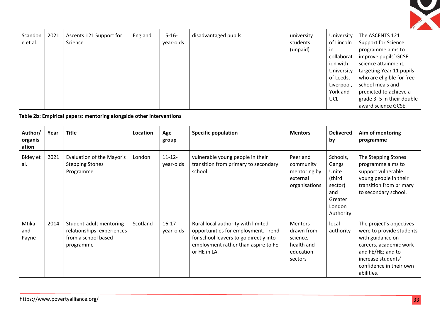| Scandon<br>e et al. | 2021 | Ascents 121 Support for<br>Science | England | $15 - 16 -$<br>year-olds | disadvantaged pupils | university<br>students<br>(unpaid) | University<br>of Lincoln<br>in<br>collaborat<br>ion with<br>University | The ASCENTS 121<br><b>Support for Science</b><br>programme aims to<br>improve pupils' GCSE<br>science attainment,<br>targeting Year 11 pupils |
|---------------------|------|------------------------------------|---------|--------------------------|----------------------|------------------------------------|------------------------------------------------------------------------|-----------------------------------------------------------------------------------------------------------------------------------------------|
|                     |      |                                    |         |                          |                      |                                    | of Leeds,<br>Liverpool,<br>York and                                    | who are eligible for free<br>school meals and<br>predicted to achieve a                                                                       |
|                     |      |                                    |         |                          |                      |                                    | <b>UCL</b>                                                             | grade 3-5 in their double<br>award science GCSE.                                                                                              |

**Table 2b: Empirical papers: mentoring alongside other interventions**

| Author/<br>organis<br>ation | Year | <b>Title</b>                                                                              | Location | Age<br>group             | <b>Specific population</b>                                                                                                                                                 | <b>Mentors</b>                                                                 | <b>Delivered</b><br>by                                                                   | Aim of mentoring<br>programme                                                                                                                                                          |
|-----------------------------|------|-------------------------------------------------------------------------------------------|----------|--------------------------|----------------------------------------------------------------------------------------------------------------------------------------------------------------------------|--------------------------------------------------------------------------------|------------------------------------------------------------------------------------------|----------------------------------------------------------------------------------------------------------------------------------------------------------------------------------------|
| Bidey et<br>al.             | 2021 | Evaluation of the Mayor's<br><b>Stepping Stones</b><br>Programme                          | London   | $11 - 12 -$<br>year-olds | vulnerable young people in their<br>transition from primary to secondary<br>school                                                                                         | Peer and<br>community<br>mentoring by<br>external<br>organisations             | Schools,<br>Gangs<br>Unite<br>(third<br>sector)<br>and<br>Greater<br>London<br>Authority | The Stepping Stones<br>programme aims to<br>support vulnerable<br>young people in their<br>transition from primary<br>to secondary school.                                             |
| Mtika<br>and<br>Payne       | 2014 | Student-adult mentoring<br>relationships: experiences<br>from a school based<br>programme | Scotland | $16-17-$<br>year-olds    | Rural local authority with limited<br>opportunities for employment. Trend<br>for school leavers to go directly into<br>employment rather than aspire to FE<br>or HE in LA. | <b>Mentors</b><br>drawn from<br>science,<br>health and<br>education<br>sectors | local<br>authority                                                                       | The project's objectives<br>were to provide students<br>with guidance on<br>careers, academic work<br>and FE/HE; and to<br>increase students'<br>confidence in their own<br>abilities. |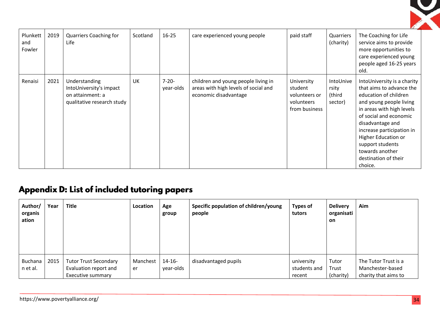

| Plunkett<br>and<br>Fowler | 2019 | Quarriers Coaching for<br>Life                                                             | Scotland | $16 - 25$               | care experienced young people                                                                        | paid staff                                                            | Quarriers<br>(charity)                  | The Coaching for Life<br>service aims to provide<br>more opportunities to<br>care experienced young<br>people aged 16-25 years<br>old.                                                                                                                                                                               |
|---------------------------|------|--------------------------------------------------------------------------------------------|----------|-------------------------|------------------------------------------------------------------------------------------------------|-----------------------------------------------------------------------|-----------------------------------------|----------------------------------------------------------------------------------------------------------------------------------------------------------------------------------------------------------------------------------------------------------------------------------------------------------------------|
| Renaisi                   | 2021 | Understanding<br>IntoUniversity's impact<br>on attainment: a<br>qualitative research study | UK       | $7 - 20 -$<br>year-olds | children and young people living in<br>areas with high levels of social and<br>economic disadvantage | University<br>student<br>volunteers or<br>volunteers<br>from business | IntoUnive<br>rsity<br>(third<br>sector) | IntoUniversity is a charity<br>that aims to advance the<br>education of children<br>and young people living<br>in areas with high levels<br>of social and economic<br>disadvantage and<br>increase participation in<br>Higher Education or<br>support students<br>towards another<br>destination of their<br>choice. |

# Appendix D: List of included tutoring papers

| Author/<br>organis<br>ation | Year | <b>Title</b>                                                               | Location       | Age<br>group           | Specific population of children/young<br>people | <b>Types of</b><br>tutors            | <b>Delivery</b><br>organisati<br>on | Aim                                                              |
|-----------------------------|------|----------------------------------------------------------------------------|----------------|------------------------|-------------------------------------------------|--------------------------------------|-------------------------------------|------------------------------------------------------------------|
| <b>Buchana</b><br>n et al.  | 2015 | <b>Tutor Trust Secondary</b><br>Evaluation report and<br>Executive summary | Manchest<br>er | $14 - 16$<br>year-olds | disadvantaged pupils                            | university<br>students and<br>recent | Tutor<br>Trust<br>(charity)         | The Tutor Trust is a<br>Manchester-based<br>charity that aims to |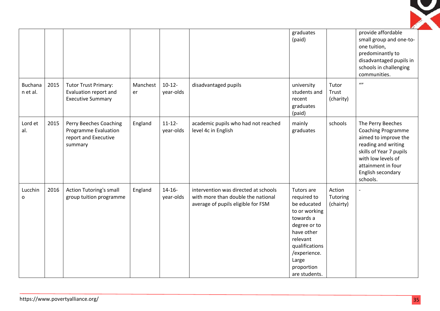

|                            |      |                                                                                   |                |                          |                                                                                                                  | graduates<br>(paid)                                                                                                                                                                        |                                 | provide affordable<br>small group and one-to-<br>one tuition,<br>predominantly to<br>disadvantaged pupils in<br>schools in challenging<br>communities.                                                |
|----------------------------|------|-----------------------------------------------------------------------------------|----------------|--------------------------|------------------------------------------------------------------------------------------------------------------|--------------------------------------------------------------------------------------------------------------------------------------------------------------------------------------------|---------------------------------|-------------------------------------------------------------------------------------------------------------------------------------------------------------------------------------------------------|
| <b>Buchana</b><br>n et al. | 2015 | <b>Tutor Trust Primary:</b><br>Evaluation report and<br><b>Executive Summary</b>  | Manchest<br>er | $10-12-$<br>year-olds    | disadvantaged pupils                                                                                             | university<br>students and<br>recent<br>graduates<br>(paid)                                                                                                                                | Tutor<br>Trust<br>(charity)     | $\omega$                                                                                                                                                                                              |
| Lord et<br>al.             | 2015 | Perry Beeches Coaching<br>Programme Evaluation<br>report and Executive<br>summary | England        | $11 - 12 -$<br>year-olds | academic pupils who had not reached<br>level 4c in English                                                       | mainly<br>graduates                                                                                                                                                                        | schools                         | The Perry Beeches<br><b>Coaching Programme</b><br>aimed to improve the<br>reading and writing<br>skills of Year 7 pupils<br>with low levels of<br>attainment in four<br>English secondary<br>schools. |
| Lucchin<br>$\mathsf{o}$    | 2016 | Action Tutoring's small<br>group tuition programme                                | England        | $14 - 16 -$<br>year-olds | intervention was directed at schools<br>with more than double the national<br>average of pupils eligible for FSM | Tutors are<br>required to<br>be educated<br>to or working<br>towards a<br>degree or to<br>have other<br>relevant<br>qualifications<br>/experience.<br>Large<br>proportion<br>are students. | Action<br>Tutoring<br>(chairty) |                                                                                                                                                                                                       |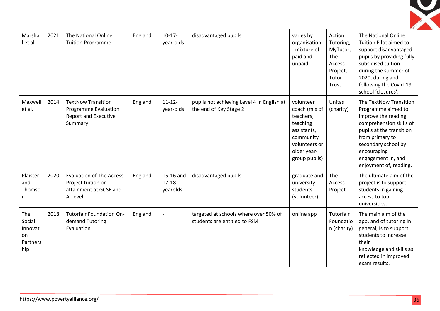| Marshal<br>l et al.                                | 2021 | The National Online<br><b>Tuition Programme</b>                                             | England | $10-17-$<br>year-olds                | disadvantaged pupils                                                  | varies by<br>organisation<br>- mixture of<br>paid and<br>unpaid                                                                  | Action<br>Tutoring,<br>MyTutor,<br>The<br>Access<br>Project,<br>Tutor<br>Trust | The National Online<br>Tuition Pilot aimed to<br>support disadvantaged<br>pupils by providing fully<br>subsidised tuition<br>during the summer of<br>2020, during and<br>following the Covid-19<br>school 'closures'.               |
|----------------------------------------------------|------|---------------------------------------------------------------------------------------------|---------|--------------------------------------|-----------------------------------------------------------------------|----------------------------------------------------------------------------------------------------------------------------------|--------------------------------------------------------------------------------|-------------------------------------------------------------------------------------------------------------------------------------------------------------------------------------------------------------------------------------|
| Maxwell<br>et al.                                  | 2014 | <b>TextNow Transition</b><br>Programme Evaluation<br><b>Report and Executive</b><br>Summary | England | $11 - 12 -$<br>year-olds             | pupils not achieving Level 4 in English at<br>the end of Key Stage 2  | volunteer<br>coach (mix of<br>teachers,<br>teaching<br>assistants,<br>community<br>volunteers or<br>older year-<br>group pupils) | Unitas<br>(charity)                                                            | The TextNow Transition<br>Programme aimed to<br>improve the reading<br>comprehension skills of<br>pupils at the transition<br>from primary to<br>secondary school by<br>encouraging<br>engagement in, and<br>enjoyment of, reading. |
| Plaister<br>and<br>Thomso<br>n                     | 2020 | <b>Evaluation of The Access</b><br>Project tuition on<br>attainment at GCSE and<br>A-Level  | England | 15-16 and<br>$17 - 18 -$<br>yearolds | disadvantaged pupils                                                  | graduate and<br>university<br>students<br>(volunteer)                                                                            | The<br><b>Access</b><br>Project                                                | The ultimate aim of the<br>project is to support<br>students in gaining<br>access to top<br>universities.                                                                                                                           |
| The<br>Social<br>Innovati<br>on<br>Partners<br>hip | 2018 | Tutorfair Foundation On-<br>demand Tutoring<br>Evaluation                                   | England |                                      | targeted at schools where over 50% of<br>students are entitled to FSM | online app                                                                                                                       | Tutorfair<br>Foundatio<br>n (charity)                                          | The main aim of the<br>app, and of tutoring in<br>general, is to support<br>students to increase<br>their<br>knowledge and skills as<br>reflected in improved<br>exam results.                                                      |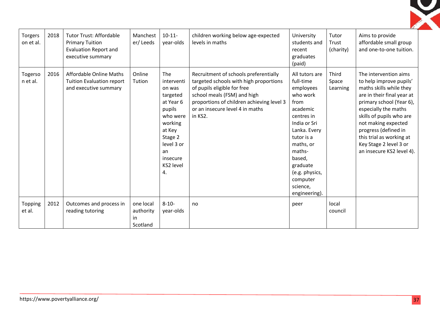

| Torgers<br>on et al. | 2018 | <b>Tutor Trust: Affordable</b><br><b>Primary Tuition</b><br><b>Evaluation Report and</b><br>executive summary | Manchest<br>er/Leeds                     | $10-11-$<br>year-olds                                                                                                                                         | children working below age-expected<br>levels in maths                                                                                                                                                                                   | University<br>students and<br>recent<br>graduates<br>(paid)                                                                                                                                                                                  | Tutor<br>Trust<br>(charity) | Aims to provide<br>affordable small group<br>and one-to-one tuition.                                                                                                                                                                                                                                                        |
|----------------------|------|---------------------------------------------------------------------------------------------------------------|------------------------------------------|---------------------------------------------------------------------------------------------------------------------------------------------------------------|------------------------------------------------------------------------------------------------------------------------------------------------------------------------------------------------------------------------------------------|----------------------------------------------------------------------------------------------------------------------------------------------------------------------------------------------------------------------------------------------|-----------------------------|-----------------------------------------------------------------------------------------------------------------------------------------------------------------------------------------------------------------------------------------------------------------------------------------------------------------------------|
| Togerso<br>n et al.  | 2016 | <b>Affordable Online Maths</b><br><b>Tuition Evaluation report</b><br>and executive summary                   | Online<br>Tution                         | The<br>interventi<br>on was<br>targeted<br>at Year 6<br>pupils<br>who were<br>working<br>at Key<br>Stage 2<br>level 3 or<br>an<br>insecure<br>KS2 level<br>4. | Recruitment of schools preferentially<br>targeted schools with high proportions<br>of pupils eligible for free<br>school meals (FSM) and high<br>proportions of children achieving level 3<br>or an insecure level 4 in maths<br>in KS2. | All tutors are<br>full-time<br>employees<br>who work<br>from<br>academic<br>centres in<br>India or Sri<br>Lanka. Every<br>tutor is a<br>maths, or<br>maths-<br>based,<br>graduate<br>(e.g. physics,<br>computer<br>science,<br>engineering). | Third<br>Space<br>Learning  | The intervention aims<br>to help improve pupils'<br>maths skills while they<br>are in their final year at<br>primary school (Year 6),<br>especially the maths<br>skills of pupils who are<br>not making expected<br>progress (defined in<br>this trial as working at<br>Key Stage 2 level 3 or<br>an insecure KS2 level 4). |
| Topping<br>et al.    | 2012 | Outcomes and process in<br>reading tutoring                                                                   | one local<br>authority<br>in<br>Scotland | $8 - 10 -$<br>year-olds                                                                                                                                       | no                                                                                                                                                                                                                                       | peer                                                                                                                                                                                                                                         | local<br>council            |                                                                                                                                                                                                                                                                                                                             |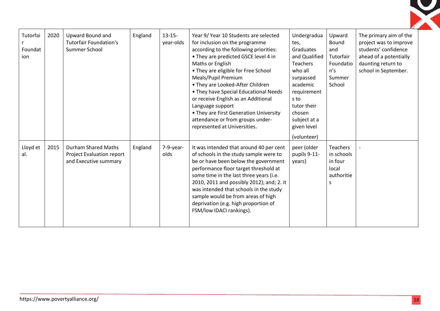| Tutorfai<br>Foundat<br>ion | 2020 | Upward Bound and<br><b>Tutorfair Foundation's</b><br>Summer School        | England | $13 - 15 -$<br>year-olds | Year 9/ Year 10 Students are selected<br>for inclusion on the programme<br>according to the following priorities:<br>• They are predicted GSCE level 4 in<br>Maths or English<br>• They are eligible for Free School<br>Meals/Pupil Premium<br>• They are Looked-After Children<br>• They have Special Educational Needs<br>or receive English as an Additional<br>Language support<br>• They are First Generation University<br>attendance or from groups under-<br>represented at Universities. | Undergradua<br>tes,<br>Graduates<br>and Qualified<br><b>Teachers</b><br>who all<br>surpassed<br>academic<br>requirement<br>s to<br>tutor their<br>chosen<br>subject at a<br>given level<br>(volunteer) | Upward<br>Bound<br>and<br>Tutorfair<br>Foundatio<br>n's<br>Summer<br>School | The primary aim of the<br>project was to improve<br>students' confidence<br>ahead of a potentially<br>daunting return to<br>school in September. |
|----------------------------|------|---------------------------------------------------------------------------|---------|--------------------------|---------------------------------------------------------------------------------------------------------------------------------------------------------------------------------------------------------------------------------------------------------------------------------------------------------------------------------------------------------------------------------------------------------------------------------------------------------------------------------------------------|--------------------------------------------------------------------------------------------------------------------------------------------------------------------------------------------------------|-----------------------------------------------------------------------------|--------------------------------------------------------------------------------------------------------------------------------------------------|
| Lloyd et<br>al.            | 2015 | Durham Shared Maths<br>Project Evaluation report<br>and Executive summary | England | $7-9-year-$<br>olds      | It was intended that around 40 per cent<br>of schools in the study sample were to<br>be or have been below the government<br>performance floor target threshold at<br>some time in the last three years (i.e.<br>2010, 2011 and possibly 2012); and; 2. it<br>was intended that schools in the study<br>sample would be from areas of high<br>deprivation (e.g. high proportion of<br>FSM/low IDACI rankings).                                                                                    | peer (older<br>pupils 9-11-<br>years)                                                                                                                                                                  | <b>Teachers</b><br>in schools<br>in four<br>local<br>authoritie<br>S        |                                                                                                                                                  |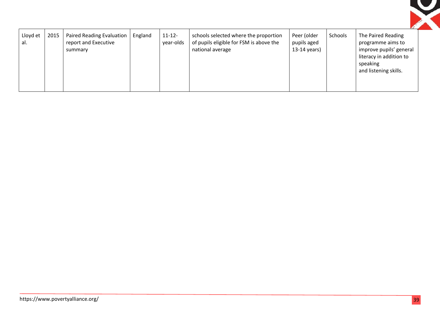

| Lloyd et<br>al. | 2015 | <b>Paired Reading Evaluation</b><br>report and Executive<br>summary | England | $11 - 12 -$<br>year-olds | schools selected where the proportion<br>of pupils eligible for FSM is above the<br>national average | Peer (older<br>pupils aged<br>$13-14$ years) | Schools | The Paired Reading<br>programme aims to<br>improve pupils' general<br>literacy in addition to<br>speaking<br>and listening skills. |
|-----------------|------|---------------------------------------------------------------------|---------|--------------------------|------------------------------------------------------------------------------------------------------|----------------------------------------------|---------|------------------------------------------------------------------------------------------------------------------------------------|
|-----------------|------|---------------------------------------------------------------------|---------|--------------------------|------------------------------------------------------------------------------------------------------|----------------------------------------------|---------|------------------------------------------------------------------------------------------------------------------------------------|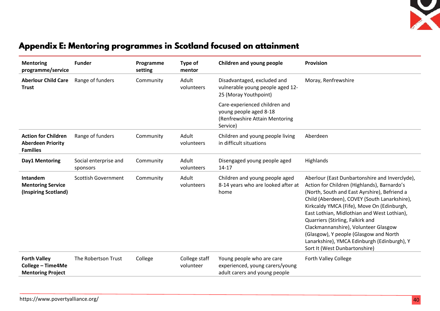

# Appendix E: Mentoring programmes in Scotland focused on attainment

| <b>Mentoring</b><br>programme/service                                     | <b>Funder</b>                     | Programme<br>setting | Type of<br>mentor          | Children and young people                                                                             | <b>Provision</b>                                                                                                                                                                                                                                                                                                                                                                                                                                                                                 |
|---------------------------------------------------------------------------|-----------------------------------|----------------------|----------------------------|-------------------------------------------------------------------------------------------------------|--------------------------------------------------------------------------------------------------------------------------------------------------------------------------------------------------------------------------------------------------------------------------------------------------------------------------------------------------------------------------------------------------------------------------------------------------------------------------------------------------|
| <b>Aberlour Child Care</b><br><b>Trust</b>                                | Range of funders                  | Community            | Adult<br>volunteers        | Disadvantaged, excluded and<br>vulnerable young people aged 12-<br>25 (Moray Youthpoint)              | Moray, Renfrewshire                                                                                                                                                                                                                                                                                                                                                                                                                                                                              |
|                                                                           |                                   |                      |                            | Care-experienced children and<br>young people aged 8-18<br>(Renfrewshire Attain Mentoring<br>Service) |                                                                                                                                                                                                                                                                                                                                                                                                                                                                                                  |
| <b>Action for Children</b><br><b>Aberdeen Priority</b><br><b>Families</b> | Range of funders                  | Community            | Adult<br>volunteers        | Children and young people living<br>in difficult situations                                           | Aberdeen                                                                                                                                                                                                                                                                                                                                                                                                                                                                                         |
| Day1 Mentoring                                                            | Social enterprise and<br>sponsors | Community            | Adult<br>volunteers        | Disengaged young people aged<br>$14 - 17$                                                             | Highlands                                                                                                                                                                                                                                                                                                                                                                                                                                                                                        |
| Intandem<br><b>Mentoring Service</b><br>(Inspiring Scotland)              | <b>Scottish Government</b>        | Community            | Adult<br>volunteers        | Children and young people aged<br>8-14 years who are looked after at<br>home                          | Aberlour (East Dunbartonshire and Inverclyde),<br>Action for Children (Highlands), Barnardo's<br>(North, South and East Ayrshire), Befriend a<br>Child (Aberdeen), COVEY (South Lanarkshire),<br>Kirkcaldy YMCA (Fife), Move On (Edinburgh,<br>East Lothian, Midlothian and West Lothian),<br>Quarriers (Stirling, Falkirk and<br>Clackmannanshire), Volunteer Glasgow<br>(Glasgow), Y people (Glasgow and North<br>Lanarkshire), YMCA Edinburgh (Edinburgh), Y<br>Sort It (West Dunbartonshire) |
| <b>Forth Valley</b><br>College - Time4Me<br><b>Mentoring Project</b>      | The Robertson Trust               | College              | College staff<br>volunteer | Young people who are care<br>experienced, young carers/young<br>adult carers and young people         | Forth Valley College                                                                                                                                                                                                                                                                                                                                                                                                                                                                             |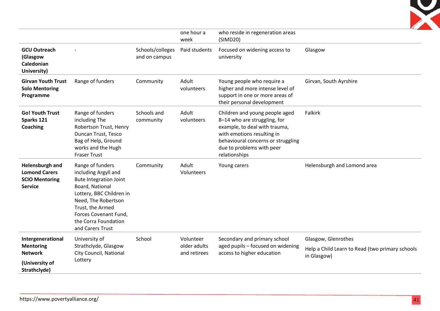

|                                                                                           |                                                                                                                                                                                                                                          |                                   | one hour a<br>week                        | who reside in regeneration areas<br>(SIMD20)                                                                                                                                                                      |                                                                                       |
|-------------------------------------------------------------------------------------------|------------------------------------------------------------------------------------------------------------------------------------------------------------------------------------------------------------------------------------------|-----------------------------------|-------------------------------------------|-------------------------------------------------------------------------------------------------------------------------------------------------------------------------------------------------------------------|---------------------------------------------------------------------------------------|
| <b>GCU Outreach</b><br>(Glasgow<br>Caledonian<br>University)                              |                                                                                                                                                                                                                                          | Schools/colleges<br>and on campus | Paid students                             | Focused on widening access to<br>university                                                                                                                                                                       | Glasgow                                                                               |
| <b>Girvan Youth Trust</b><br><b>Solo Mentoring</b><br>Programme                           | Range of funders                                                                                                                                                                                                                         | Community                         | Adult<br>volunteers                       | Young people who require a<br>higher and more intense level of<br>support in one or more areas of<br>their personal development                                                                                   | Girvan, South Ayrshire                                                                |
| <b>Go! Youth Trust</b><br>Sparks 121<br><b>Coaching</b>                                   | Range of funders<br>including The<br>Robertson Trust, Henry<br>Duncan Trust, Tesco<br>Bag of Help, Ground<br>works and the Hugh<br><b>Fraser Trust</b>                                                                                   | Schools and<br>community          | Adult<br>volunteers                       | Children and young people aged<br>8-14 who are struggling, for<br>example, to deal with trauma,<br>with emotions resulting in<br>behavioural concerns or struggling<br>due to problems with peer<br>relationships | Falkirk                                                                               |
| Helensburgh and<br><b>Lomond Carers</b><br><b>SCIO Mentoring</b><br><b>Service</b>        | Range of funders<br>including Argyll and<br><b>Bute Integration Joint</b><br>Board, National<br>Lottery, BBC Children in<br>Need, The Robertson<br>Trust, the Armed<br>Forces Covenant Fund,<br>the Corra Foundation<br>and Carers Trust | Community                         | Adult<br>Volunteers                       | Young carers                                                                                                                                                                                                      | Helensburgh and Lomond area                                                           |
| Intergenerational<br><b>Mentoring</b><br><b>Network</b><br>(University of<br>Strathclyde) | University of<br>Strathclyde, Glasgow<br>City Council, National<br>Lottery                                                                                                                                                               | School                            | Volunteer<br>older adults<br>and retirees | Secondary and primary school<br>aged pupils - focused on widening<br>access to higher education                                                                                                                   | Glasgow, Glenrothes<br>Help a Child Learn to Read (two primary schools<br>in Glasgow) |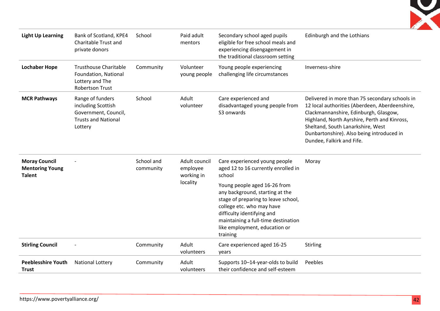

| <b>Light Up Learning</b>                                        | Bank of Scotland, KPE4<br>Charitable Trust and<br>private donors                                        | School                  | Paid adult<br>mentors                   | Secondary school aged pupils<br>eligible for free school meals and<br>experiencing disengagement in<br>the traditional classroom setting                                                                                                              | Edinburgh and the Lothians                                                                                                                                                                                                                                                                               |
|-----------------------------------------------------------------|---------------------------------------------------------------------------------------------------------|-------------------------|-----------------------------------------|-------------------------------------------------------------------------------------------------------------------------------------------------------------------------------------------------------------------------------------------------------|----------------------------------------------------------------------------------------------------------------------------------------------------------------------------------------------------------------------------------------------------------------------------------------------------------|
| <b>Lochaber Hope</b>                                            | <b>Trusthouse Charitable</b><br>Foundation, National<br>Lottery and The<br><b>Robertson Trust</b>       | Community               | Volunteer<br>young people               | Young people experiencing<br>challenging life circumstances                                                                                                                                                                                           | Inverness-shire                                                                                                                                                                                                                                                                                          |
| <b>MCR Pathways</b>                                             | Range of funders<br>including Scottish<br>Government, Council,<br><b>Trusts and National</b><br>Lottery | School                  | Adult<br>volunteer                      | Care experienced and<br>disadvantaged young people from<br>S3 onwards                                                                                                                                                                                 | Delivered in more than 75 secondary schools in<br>12 local authorities (Aberdeen, Aberdeenshire,<br>Clackmannanshire, Edinburgh, Glasgow,<br>Highland, North Ayrshire, Perth and Kinross,<br>Sheltand, South Lanarkshire, West<br>Dunbartonshire). Also being introduced in<br>Dundee, Falkirk and Fife. |
| <b>Moray Council</b><br><b>Mentoring Young</b><br><b>Talent</b> |                                                                                                         | School and<br>community | Adult council<br>employee<br>working in | Care experienced young people<br>aged 12 to 16 currently enrolled in<br>school                                                                                                                                                                        | Moray                                                                                                                                                                                                                                                                                                    |
|                                                                 |                                                                                                         |                         | locality                                | Young people aged 16-26 from<br>any background, starting at the<br>stage of preparing to leave school,<br>college etc. who may have<br>difficulty identifying and<br>maintaining a full-time destination<br>like employment, education or<br>training |                                                                                                                                                                                                                                                                                                          |
| <b>Stirling Council</b>                                         |                                                                                                         | Community               | Adult<br>volunteers                     | Care experienced aged 16-25<br>years                                                                                                                                                                                                                  | <b>Stirling</b>                                                                                                                                                                                                                                                                                          |
| <b>Peeblesshire Youth</b><br><b>Trust</b>                       | <b>National Lottery</b>                                                                                 | Community               | Adult<br>volunteers                     | Supports 10-14-year-olds to build<br>their confidence and self-esteem                                                                                                                                                                                 | Peebles                                                                                                                                                                                                                                                                                                  |